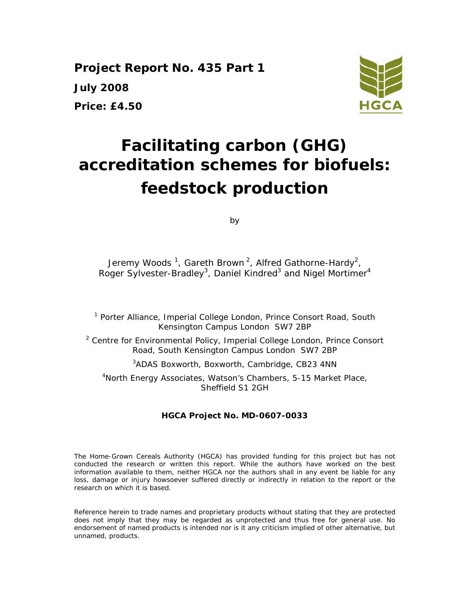**Project Report No. 435 Part 1 July 2008 Price: £4.50** 



# **Facilitating carbon (GHG) accreditation schemes for biofuels: feedstock production**

by

Jeremy Woods  $^1$ , Gareth Brown  $^2$ , Alfred Gathorne-Hardy $^2$ , Roger Sylvester-Bradley<sup>3</sup>, Daniel Kindred<sup>3</sup> and Nigel Mortimer<sup>4</sup>

<sup>1</sup> Porter Alliance, Imperial College London, Prince Consort Road, South Kensington Campus London SW7 2BP

<sup>2</sup> Centre for Environmental Policy, Imperial College London, Prince Consort Road, South Kensington Campus London SW7 2BP

3 ADAS Boxworth, Boxworth, Cambridge, CB23 4NN

4 North Energy Associates, Watson's Chambers, 5-15 Market Place, Sheffield S1 2GH

#### **HGCA Project No. MD-0607-0033**

The Home-Grown Cereals Authority (HGCA) has provided funding for this project but has not conducted the research or written this report. While the authors have worked on the best information available to them, neither HGCA nor the authors shall in any event be liable for any loss, damage or injury howsoever suffered directly or indirectly in relation to the report or the research on which it is based.

Reference herein to trade names and proprietary products without stating that they are protected does not imply that they may be regarded as unprotected and thus free for general use. No endorsement of named products is intended nor is it any criticism implied of other alternative, but unnamed, products.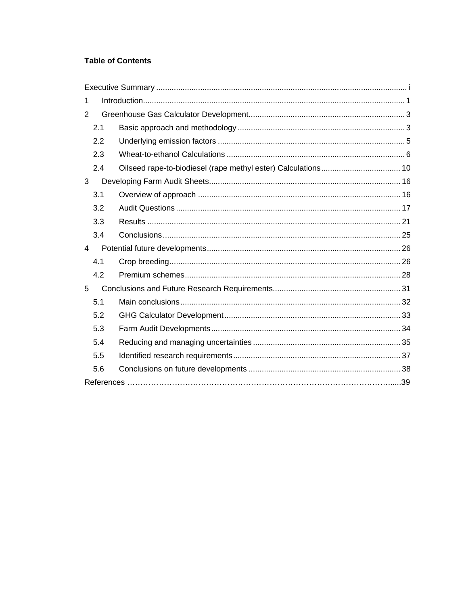### **Table of Contents**

| 1              |     |  |  |  |
|----------------|-----|--|--|--|
| 2              |     |  |  |  |
|                | 2.1 |  |  |  |
|                | 2.2 |  |  |  |
|                | 2.3 |  |  |  |
|                | 2.4 |  |  |  |
| 3              |     |  |  |  |
|                | 3.1 |  |  |  |
|                | 3.2 |  |  |  |
|                | 3.3 |  |  |  |
|                | 3.4 |  |  |  |
| $\overline{4}$ |     |  |  |  |
|                | 4.1 |  |  |  |
|                | 4.2 |  |  |  |
| 5              |     |  |  |  |
|                | 5.1 |  |  |  |
|                | 5.2 |  |  |  |
|                | 5.3 |  |  |  |
|                | 5.4 |  |  |  |
|                | 5.5 |  |  |  |
|                | 5.6 |  |  |  |
|                |     |  |  |  |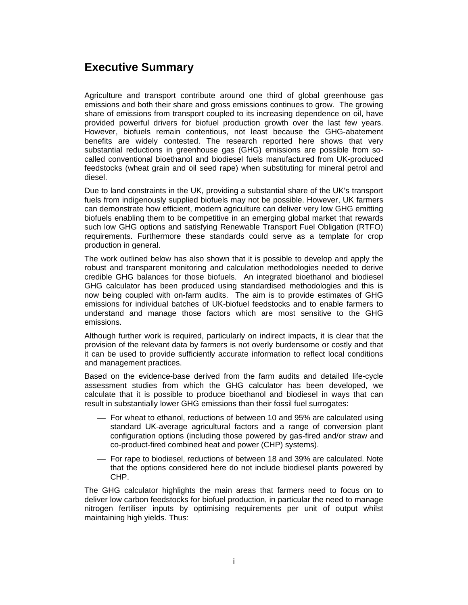# **Executive Summary**

Agriculture and transport contribute around one third of global greenhouse gas emissions and both their share and gross emissions continues to grow. The growing share of emissions from transport coupled to its increasing dependence on oil, have provided powerful drivers for biofuel production growth over the last few years. However, biofuels remain contentious, not least because the GHG-abatement benefits are widely contested. The research reported here shows that very substantial reductions in greenhouse gas (GHG) emissions are possible from socalled conventional bioethanol and biodiesel fuels manufactured from UK-produced feedstocks (wheat grain and oil seed rape) when substituting for mineral petrol and diesel.

Due to land constraints in the UK, providing a substantial share of the UK's transport fuels from indigenously supplied biofuels may not be possible. However, UK farmers can demonstrate how efficient, modern agriculture can deliver very low GHG emitting biofuels enabling them to be competitive in an emerging global market that rewards such low GHG options and satisfying Renewable Transport Fuel Obligation (RTFO) requirements. Furthermore these standards could serve as a template for crop production in general.

The work outlined below has also shown that it is possible to develop and apply the robust and transparent monitoring and calculation methodologies needed to derive credible GHG balances for those biofuels. An integrated bioethanol and biodiesel GHG calculator has been produced using standardised methodologies and this is now being coupled with on-farm audits. The aim is to provide estimates of GHG emissions for individual batches of UK-biofuel feedstocks and to enable farmers to understand and manage those factors which are most sensitive to the GHG emissions.

Although further work is required, particularly on indirect impacts, it is clear that the provision of the relevant data by farmers is not overly burdensome or costly and that it can be used to provide sufficiently accurate information to reflect local conditions and management practices.

Based on the evidence-base derived from the farm audits and detailed life-cycle assessment studies from which the GHG calculator has been developed, we calculate that it is possible to produce bioethanol and biodiesel in ways that can result in substantially lower GHG emissions than their fossil fuel surrogates:

- ⎯ For wheat to ethanol, reductions of between 10 and 95% are calculated using standard UK-average agricultural factors and a range of conversion plant configuration options (including those powered by gas-fired and/or straw and co-product-fired combined heat and power (CHP) systems).
- ⎯ For rape to biodiesel, reductions of between 18 and 39% are calculated. Note that the options considered here do not include biodiesel plants powered by CHP.

The GHG calculator highlights the main areas that farmers need to focus on to deliver low carbon feedstocks for biofuel production, in particular the need to manage nitrogen fertiliser inputs by optimising requirements per unit of output whilst maintaining high yields. Thus: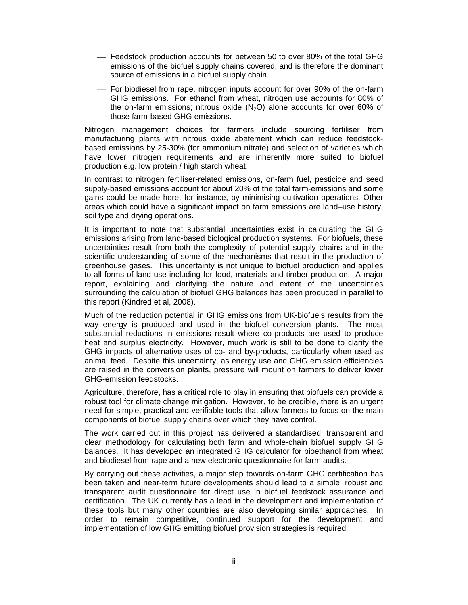- ⎯ Feedstock production accounts for between 50 to over 80% of the total GHG emissions of the biofuel supply chains covered, and is therefore the dominant source of emissions in a biofuel supply chain.
- ⎯ For biodiesel from rape, nitrogen inputs account for over 90% of the on-farm GHG emissions. For ethanol from wheat, nitrogen use accounts for 80% of the on-farm emissions; nitrous oxide  $(N_2O)$  alone accounts for over 60% of those farm-based GHG emissions.

Nitrogen management choices for farmers include sourcing fertiliser from manufacturing plants with nitrous oxide abatement which can reduce feedstockbased emissions by 25-30% (for ammonium nitrate) and selection of varieties which have lower nitrogen requirements and are inherently more suited to biofuel production e.g. low protein / high starch wheat.

In contrast to nitrogen fertiliser-related emissions, on-farm fuel, pesticide and seed supply-based emissions account for about 20% of the total farm-emissions and some gains could be made here, for instance, by minimising cultivation operations. Other areas which could have a significant impact on farm emissions are land–use history, soil type and drying operations.

It is important to note that substantial uncertainties exist in calculating the GHG emissions arising from land-based biological production systems. For biofuels, these uncertainties result from both the complexity of potential supply chains and in the scientific understanding of some of the mechanisms that result in the production of greenhouse gases. This uncertainty is not unique to biofuel production and applies to all forms of land use including for food, materials and timber production. A major report, explaining and clarifying the nature and extent of the uncertainties surrounding the calculation of biofuel GHG balances has been produced in parallel to this report (Kindred et al, 2008).

Much of the reduction potential in GHG emissions from UK-biofuels results from the way energy is produced and used in the biofuel conversion plants. The most substantial reductions in emissions result where co-products are used to produce heat and surplus electricity. However, much work is still to be done to clarify the GHG impacts of alternative uses of co- and by-products, particularly when used as animal feed. Despite this uncertainty, as energy use and GHG emission efficiencies are raised in the conversion plants, pressure will mount on farmers to deliver lower GHG-emission feedstocks.

Agriculture, therefore, has a critical role to play in ensuring that biofuels can provide a robust tool for climate change mitigation. However, to be credible, there is an urgent need for simple, practical and verifiable tools that allow farmers to focus on the main components of biofuel supply chains over which they have control.

The work carried out in this project has delivered a standardised, transparent and clear methodology for calculating both farm and whole-chain biofuel supply GHG balances. It has developed an integrated GHG calculator for bioethanol from wheat and biodiesel from rape and a new electronic questionnaire for farm audits.

By carrying out these activities, a major step towards on-farm GHG certification has been taken and near-term future developments should lead to a simple, robust and transparent audit questionnaire for direct use in biofuel feedstock assurance and certification. The UK currently has a lead in the development and implementation of these tools but many other countries are also developing similar approaches. In order to remain competitive, continued support for the development and implementation of low GHG emitting biofuel provision strategies is required.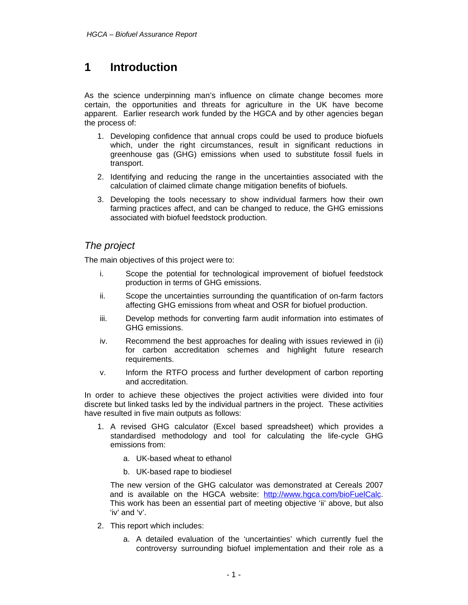# **1 Introduction**

As the science underpinning man's influence on climate change becomes more certain, the opportunities and threats for agriculture in the UK have become apparent. Earlier research work funded by the HGCA and by other agencies began the process of:

- 1. Developing confidence that annual crops could be used to produce biofuels which, under the right circumstances, result in significant reductions in greenhouse gas (GHG) emissions when used to substitute fossil fuels in transport.
- 2. Identifying and reducing the range in the uncertainties associated with the calculation of claimed climate change mitigation benefits of biofuels.
- 3. Developing the tools necessary to show individual farmers how their own farming practices affect, and can be changed to reduce, the GHG emissions associated with biofuel feedstock production.

### *The project*

The main objectives of this project were to:

- i. Scope the potential for technological improvement of biofuel feedstock production in terms of GHG emissions.
- ii. Scope the uncertainties surrounding the quantification of on-farm factors affecting GHG emissions from wheat and OSR for biofuel production.
- iii. Develop methods for converting farm audit information into estimates of GHG emissions.
- iv. Recommend the best approaches for dealing with issues reviewed in (ii) for carbon accreditation schemes and highlight future research requirements.
- v. Inform the RTFO process and further development of carbon reporting and accreditation.

In order to achieve these objectives the project activities were divided into four discrete but linked tasks led by the individual partners in the project. These activities have resulted in five main outputs as follows:

- 1. A revised GHG calculator (Excel based spreadsheet) which provides a standardised methodology and tool for calculating the life-cycle GHG emissions from:
	- a. UK-based wheat to ethanol
	- b. UK-based rape to biodiesel

The new version of the GHG calculator was demonstrated at Cereals 2007 and is available on the HGCA website: http://www.hgca.com/bioFuelCalc. This work has been an essential part of meeting objective 'ii' above, but also 'iv' and 'v'.

- 2. This report which includes:
	- a. A detailed evaluation of the 'uncertainties' which currently fuel the controversy surrounding biofuel implementation and their role as a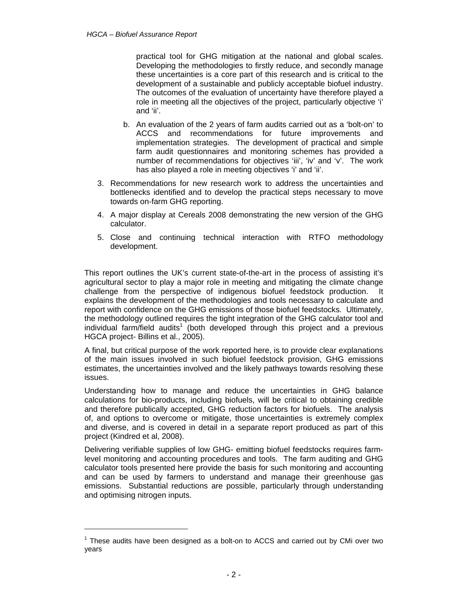practical tool for GHG mitigation at the national and global scales. Developing the methodologies to firstly reduce, and secondly manage these uncertainties is a core part of this research and is critical to the development of a sustainable and publicly acceptable biofuel industry. The outcomes of the evaluation of uncertainty have therefore played a role in meeting all the objectives of the project, particularly objective 'i' and 'ii'.

- b. An evaluation of the 2 years of farm audits carried out as a 'bolt-on' to ACCS and recommendations for future improvements and implementation strategies. The development of practical and simple farm audit questionnaires and monitoring schemes has provided a number of recommendations for objectives 'iii', 'iv' and 'v'. The work has also played a role in meeting objectives 'i' and 'ii'.
- 3. Recommendations for new research work to address the uncertainties and bottlenecks identified and to develop the practical steps necessary to move towards on-farm GHG reporting.
- 4. A major display at Cereals 2008 demonstrating the new version of the GHG calculator.
- 5. Close and continuing technical interaction with RTFO methodology development.

This report outlines the UK's current state-of-the-art in the process of assisting it's agricultural sector to play a major role in meeting and mitigating the climate change challenge from the perspective of indigenous biofuel feedstock production. It explains the development of the methodologies and tools necessary to calculate and report with confidence on the GHG emissions of those biofuel feedstocks. Ultimately, the methodology outlined requires the tight integration of the GHG calculator tool and individual farm/field audits<sup>1</sup> (both developed through this project and a previous HGCA project- Billins et al., 2005).

A final, but critical purpose of the work reported here, is to provide clear explanations of the main issues involved in such biofuel feedstock provision, GHG emissions estimates, the uncertainties involved and the likely pathways towards resolving these issues.

Understanding how to manage and reduce the uncertainties in GHG balance calculations for bio-products, including biofuels, will be critical to obtaining credible and therefore publically accepted, GHG reduction factors for biofuels. The analysis of, and options to overcome or mitigate, those uncertainties is extremely complex and diverse, and is covered in detail in a separate report produced as part of this project (Kindred et al, 2008).

Delivering verifiable supplies of low GHG- emitting biofuel feedstocks requires farmlevel monitoring and accounting procedures and tools. The farm auditing and GHG calculator tools presented here provide the basis for such monitoring and accounting and can be used by farmers to understand and manage their greenhouse gas emissions. Substantial reductions are possible, particularly through understanding and optimising nitrogen inputs.

 $\overline{a}$ 

 $1$  These audits have been designed as a bolt-on to ACCS and carried out by CMi over two years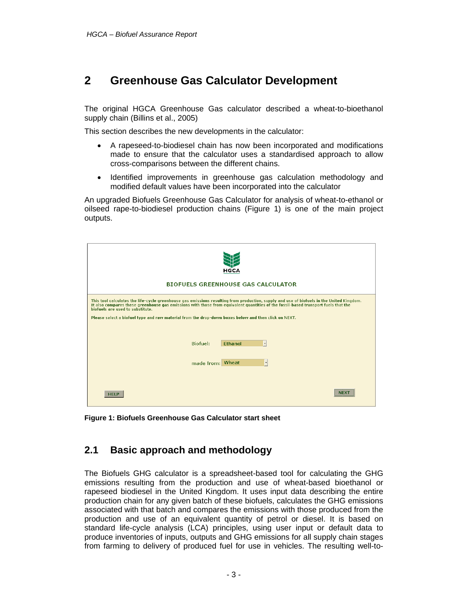# **2 Greenhouse Gas Calculator Development**

The original HGCA Greenhouse Gas calculator described a wheat-to-bioethanol supply chain (Billins et al., 2005)

This section describes the new developments in the calculator:

- A rapeseed-to-biodiesel chain has now been incorporated and modifications made to ensure that the calculator uses a standardised approach to allow cross-comparisons between the different chains.
- Identified improvements in greenhouse gas calculation methodology and modified default values have been incorporated into the calculator

An upgraded Biofuels Greenhouse Gas Calculator for analysis of wheat-to-ethanol or oilseed rape-to-biodiesel production chains (Figure 1) is one of the main project outputs.

| HGCA<br><b>BIOFUELS GREENHOUSE GAS CALCULATOR</b>                                                                                                                                                                                                                                                                   |  |  |  |  |  |
|---------------------------------------------------------------------------------------------------------------------------------------------------------------------------------------------------------------------------------------------------------------------------------------------------------------------|--|--|--|--|--|
| This tool calculates the life-cycle greenhouse gas emissions resulting from production, supply and use of biofuels in the United Kingdom.<br>It also compares these greenhouse gas emissions with those from equivalent quantities of the fossil-based transport fuels that the<br>biofuels are used to substitute. |  |  |  |  |  |
| Please select a biofuel type and raw material from the drop-down boxes below and then click on NEXT.                                                                                                                                                                                                                |  |  |  |  |  |
| Biofuel:<br>$\cdot$<br>Ethanol                                                                                                                                                                                                                                                                                      |  |  |  |  |  |
| made from: Wheat<br>$\overline{\phantom{a}}$                                                                                                                                                                                                                                                                        |  |  |  |  |  |
|                                                                                                                                                                                                                                                                                                                     |  |  |  |  |  |
| <b>NEXT</b><br><b>HELP</b>                                                                                                                                                                                                                                                                                          |  |  |  |  |  |

**Figure 1: Biofuels Greenhouse Gas Calculator start sheet** 

### **2.1 Basic approach and methodology**

The Biofuels GHG calculator is a spreadsheet-based tool for calculating the GHG emissions resulting from the production and use of wheat-based bioethanol or rapeseed biodiesel in the United Kingdom. It uses input data describing the entire production chain for any given batch of these biofuels, calculates the GHG emissions associated with that batch and compares the emissions with those produced from the production and use of an equivalent quantity of petrol or diesel. It is based on standard life-cycle analysis (LCA) principles, using user input or default data to produce inventories of inputs, outputs and GHG emissions for all supply chain stages from farming to delivery of produced fuel for use in vehicles. The resulting well-to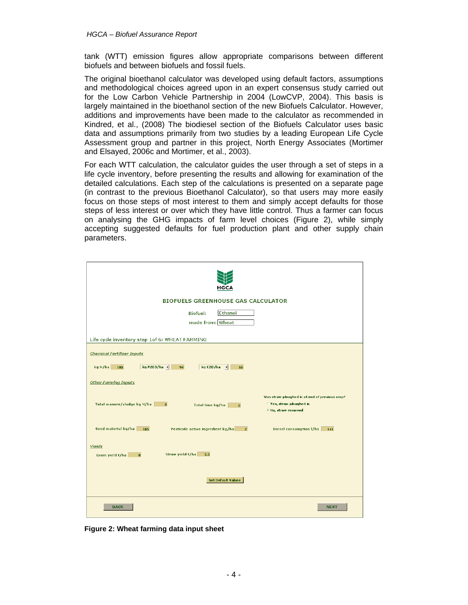tank (WTT) emission figures allow appropriate comparisons between different biofuels and between biofuels and fossil fuels.

The original bioethanol calculator was developed using default factors, assumptions and methodological choices agreed upon in an expert consensus study carried out for the Low Carbon Vehicle Partnership in 2004 (LowCVP, 2004). This basis is largely maintained in the bioethanol section of the new Biofuels Calculator. However, additions and improvements have been made to the calculator as recommended in Kindred, et al., (2008) The biodiesel section of the Biofuels Calculator uses basic data and assumptions primarily from two studies by a leading European Life Cycle Assessment group and partner in this project, North Energy Associates (Mortimer and Elsayed, 2006c and Mortimer, et al., 2003).

For each WTT calculation, the calculator guides the user through a set of steps in a life cycle inventory, before presenting the results and allowing for examination of the detailed calculations. Each step of the calculations is presented on a separate page (in contrast to the previous Bioethanol Calculator), so that users may more easily focus on those steps of most interest to them and simply accept defaults for those steps of less interest or over which they have little control. Thus a farmer can focus on analysing the GHG impacts of farm level choices (Figure 2), while simply accepting suggested defaults for fuel production plant and other supply chain parameters.

| <b>BIOFUELS GREENHOUSE GAS CALCULATOR</b><br>Ethanol<br><b>Biofuel:</b><br>made from: Wheat                                        |  |  |  |  |  |
|------------------------------------------------------------------------------------------------------------------------------------|--|--|--|--|--|
| Life cycle inventory step 1of 6: WHEAT FARMING                                                                                     |  |  |  |  |  |
| <b>Chemical Fertilizer Inputs</b>                                                                                                  |  |  |  |  |  |
| kg P205/ha ·<br>kg N/ha<br>94<br>kg K20 /ha -<br>185<br>55                                                                         |  |  |  |  |  |
| <b>Other Farming Inputs</b><br>Was straw ploughed in at end of previous crop?                                                      |  |  |  |  |  |
| C Yes, straw ploughed in<br>Total manure/sludge kg N/ha<br>$\mathbf{0}$<br>Total lime kg/ha<br>$\mathbf{0}$<br>F No, straw removed |  |  |  |  |  |
| Seed material kg/ha<br>Pesticide active ingredient kg/ha<br>Diesel consumption I/ha<br>185<br>$\overline{2}$<br>141                |  |  |  |  |  |
| Yields<br>Straw yield t/ha<br>3.3<br>Grain yield t/ha<br>$\mathbf{8}$                                                              |  |  |  |  |  |
| <b>Set Default Values</b>                                                                                                          |  |  |  |  |  |
| <b>BACK</b><br><b>NEXT</b>                                                                                                         |  |  |  |  |  |

**Figure 2: Wheat farming data input sheet**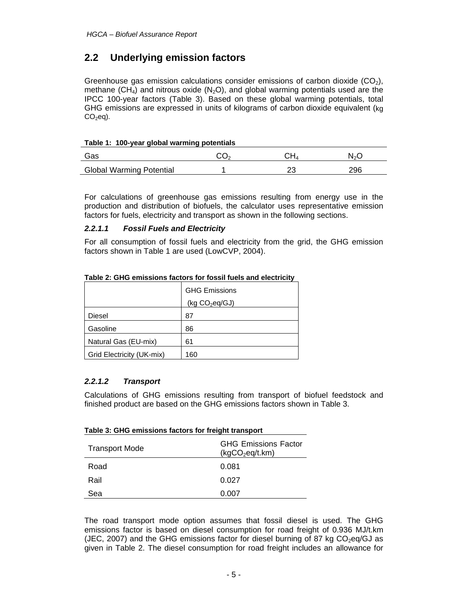# **2.2 Underlying emission factors**

Greenhouse gas emission calculations consider emissions of carbon dioxide  $(CO<sub>2</sub>)$ , methane (CH<sub>4</sub>) and nitrous oxide (N<sub>2</sub>O), and global warming potentials used are the IPCC 100-year factors (Table 3). Based on these global warming potentials, total GHG emissions are expressed in units of kilograms of carbon dioxide equivalent (kg  $CO<sub>2</sub>eq$ ).

#### **Table 1: 100-year global warming potentials**

| Gas                             | מי | ור | $N_{\alpha}C$ |
|---------------------------------|----|----|---------------|
| <b>Global Warming Potential</b> |    |    | 296           |

For calculations of greenhouse gas emissions resulting from energy use in the production and distribution of biofuels, the calculator uses representative emission factors for fuels, electricity and transport as shown in the following sections.

#### *2.2.1.1 Fossil Fuels and Electricity*

For all consumption of fossil fuels and electricity from the grid, the GHG emission factors shown in Table 1 are used (LowCVP, 2004).

|                           | <b>GHG Emissions</b>       |
|---------------------------|----------------------------|
|                           | (kq CO <sub>2</sub> eq/GJ) |
| Diesel                    | 87                         |
| Gasoline                  | 86                         |
| Natural Gas (EU-mix)      | 61                         |
| Grid Electricity (UK-mix) | 160                        |

#### **Table 2: GHG emissions factors for fossil fuels and electricity**

#### *2.2.1.2 Transport*

Calculations of GHG emissions resulting from transport of biofuel feedstock and finished product are based on the GHG emissions factors shown in Table 3.

| Table 5. GHG emissions factors for freight transport |                                                            |  |  |
|------------------------------------------------------|------------------------------------------------------------|--|--|
| <b>Transport Mode</b>                                | <b>GHG Emissions Factor</b><br>(kgCO <sub>2</sub> eq/t.km) |  |  |
| Road                                                 | 0.081                                                      |  |  |
| Rail                                                 | 0.027                                                      |  |  |
| Sea                                                  | 0.007                                                      |  |  |

**Table 3: GHG emissions factors for freight transport** 

The road transport mode option assumes that fossil diesel is used. The GHG emissions factor is based on diesel consumption for road freight of 0.936 MJ/t.km (JEC, 2007) and the GHG emissions factor for diesel burning of 87 kg  $CO<sub>2</sub>$ eg/GJ as given in Table 2. The diesel consumption for road freight includes an allowance for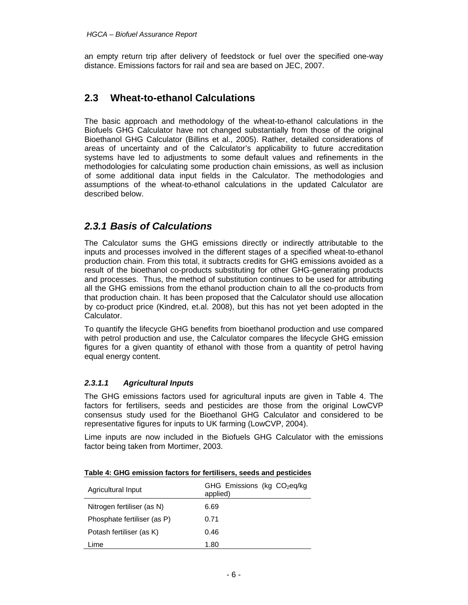an empty return trip after delivery of feedstock or fuel over the specified one-way distance. Emissions factors for rail and sea are based on JEC, 2007.

### **2.3 Wheat-to-ethanol Calculations**

The basic approach and methodology of the wheat-to-ethanol calculations in the Biofuels GHG Calculator have not changed substantially from those of the original Bioethanol GHG Calculator (Billins et al., 2005). Rather, detailed considerations of areas of uncertainty and of the Calculator's applicability to future accreditation systems have led to adjustments to some default values and refinements in the methodologies for calculating some production chain emissions, as well as inclusion of some additional data input fields in the Calculator. The methodologies and assumptions of the wheat-to-ethanol calculations in the updated Calculator are described below.

### *2.3.1 Basis of Calculations*

The Calculator sums the GHG emissions directly or indirectly attributable to the inputs and processes involved in the different stages of a specified wheat-to-ethanol production chain. From this total, it subtracts credits for GHG emissions avoided as a result of the bioethanol co-products substituting for other GHG-generating products and processes. Thus, the method of substitution continues to be used for attributing all the GHG emissions from the ethanol production chain to all the co-products from that production chain. It has been proposed that the Calculator should use allocation by co-product price (Kindred, et.al. 2008), but this has not yet been adopted in the Calculator.

To quantify the lifecycle GHG benefits from bioethanol production and use compared with petrol production and use, the Calculator compares the lifecycle GHG emission figures for a given quantity of ethanol with those from a quantity of petrol having equal energy content.

#### *2.3.1.1 Agricultural Inputs*

The GHG emissions factors used for agricultural inputs are given in Table 4. The factors for fertilisers, seeds and pesticides are those from the original LowCVP consensus study used for the Bioethanol GHG Calculator and considered to be representative figures for inputs to UK farming (LowCVP, 2004).

Lime inputs are now included in the Biofuels GHG Calculator with the emissions factor being taken from Mortimer, 2003.

| Agricultural Input          | GHG Emissions (kg CO <sub>2</sub> eq/kg<br>applied) |
|-----------------------------|-----------------------------------------------------|
| Nitrogen fertiliser (as N)  | 6.69                                                |
| Phosphate fertiliser (as P) | 0.71                                                |
| Potash fertiliser (as K)    | 0.46                                                |
| Lime                        | 1.80                                                |

**Table 4: GHG emission factors for fertilisers, seeds and pesticides**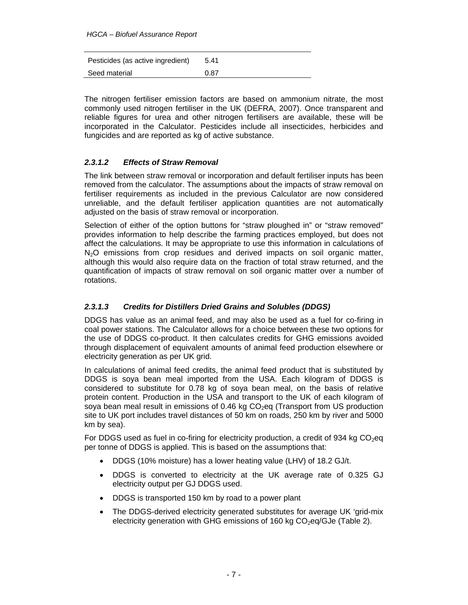| Pesticides (as active ingredient) | 5.41 |
|-----------------------------------|------|
| Seed material                     | 0.87 |

The nitrogen fertiliser emission factors are based on ammonium nitrate, the most commonly used nitrogen fertiliser in the UK (DEFRA, 2007). Once transparent and reliable figures for urea and other nitrogen fertilisers are available, these will be incorporated in the Calculator. Pesticides include all insecticides, herbicides and fungicides and are reported as kg of active substance.

#### *2.3.1.2 Effects of Straw Removal*

The link between straw removal or incorporation and default fertiliser inputs has been removed from the calculator. The assumptions about the impacts of straw removal on fertiliser requirements as included in the previous Calculator are now considered unreliable, and the default fertiliser application quantities are not automatically adjusted on the basis of straw removal or incorporation.

Selection of either of the option buttons for "straw ploughed in" or "straw removed" provides information to help describe the farming practices employed, but does not affect the calculations. It may be appropriate to use this information in calculations of N<sub>2</sub>O emissions from crop residues and derived impacts on soil organic matter, although this would also require data on the fraction of total straw returned, and the quantification of impacts of straw removal on soil organic matter over a number of rotations.

#### *2.3.1.3 Credits for Distillers Dried Grains and Solubles (DDGS)*

DDGS has value as an animal feed, and may also be used as a fuel for co-firing in coal power stations. The Calculator allows for a choice between these two options for the use of DDGS co-product. It then calculates credits for GHG emissions avoided through displacement of equivalent amounts of animal feed production elsewhere or electricity generation as per UK grid.

In calculations of animal feed credits, the animal feed product that is substituted by DDGS is soya bean meal imported from the USA. Each kilogram of DDGS is considered to substitute for 0.78 kg of soya bean meal, on the basis of relative protein content. Production in the USA and transport to the UK of each kilogram of soya bean meal result in emissions of 0.46 kg  $CO<sub>2</sub>$ eq (Transport from US production site to UK port includes travel distances of 50 km on roads, 250 km by river and 5000 km by sea).

For DDGS used as fuel in co-firing for electricity production, a credit of 934 kg  $CO<sub>2</sub>$ eq per tonne of DDGS is applied. This is based on the assumptions that:

- DDGS (10% moisture) has a lower heating value (LHV) of 18.2 GJ/t.
- DDGS is converted to electricity at the UK average rate of 0.325 GJ electricity output per GJ DDGS used.
- DDGS is transported 150 km by road to a power plant
- The DDGS-derived electricity generated substitutes for average UK 'grid-mix electricity generation with GHG emissions of 160 kg  $CO<sub>2</sub>$ eq/GJe (Table 2).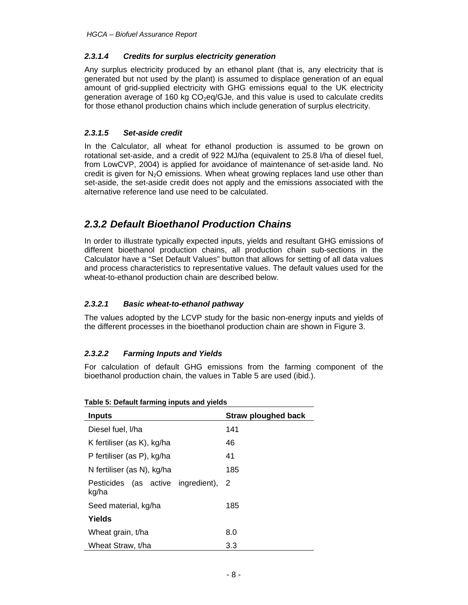#### *2.3.1.4 Credits for surplus electricity generation*

Any surplus electricity produced by an ethanol plant (that is, any electricity that is generated but not used by the plant) is assumed to displace generation of an equal amount of grid-supplied electricity with GHG emissions equal to the UK electricity generation average of 160 kg  $CO<sub>2</sub>$ eq/GJe, and this value is used to calculate credits for those ethanol production chains which include generation of surplus electricity.

#### *2.3.1.5 Set-aside credit*

In the Calculator, all wheat for ethanol production is assumed to be grown on rotational set-aside, and a credit of 922 MJ/ha (equivalent to 25.8 l/ha of diesel fuel, from LowCVP, 2004) is applied for avoidance of maintenance of set-aside land. No credit is given for  $N<sub>2</sub>O$  emissions. When wheat growing replaces land use other than set-aside, the set-aside credit does not apply and the emissions associated with the alternative reference land use need to be calculated.

### *2.3.2 Default Bioethanol Production Chains*

In order to illustrate typically expected inputs, yields and resultant GHG emissions of different bioethanol production chains, all production chain sub-sections in the Calculator have a "Set Default Values" button that allows for setting of all data values and process characteristics to representative values. The default values used for the wheat-to-ethanol production chain are described below.

#### *2.3.2.1 Basic wheat-to-ethanol pathway*

The values adopted by the LCVP study for the basic non-energy inputs and yields of the different processes in the bioethanol production chain are shown in Figure 3.

#### *2.3.2.2 Farming Inputs and Yields*

For calculation of default GHG emissions from the farming component of the bioethanol production chain, the values in Table 5 are used (ibid.).

| <b>Inputs</b>                               | <b>Straw ploughed back</b> |  |  |
|---------------------------------------------|----------------------------|--|--|
|                                             |                            |  |  |
| Diesel fuel. I/ha                           | 141                        |  |  |
| K fertiliser (as K), kg/ha                  | 46                         |  |  |
| P fertiliser (as P), kg/ha                  | 41                         |  |  |
| N fertiliser (as N), kg/ha                  | 185                        |  |  |
| Pesticides (as active ingredient),<br>kg/ha | -2                         |  |  |
| Seed material, kg/ha                        | 185                        |  |  |
| Yields                                      |                            |  |  |
| Wheat grain, t/ha                           | 8.0                        |  |  |
| Wheat Straw, t/ha                           | 3.3                        |  |  |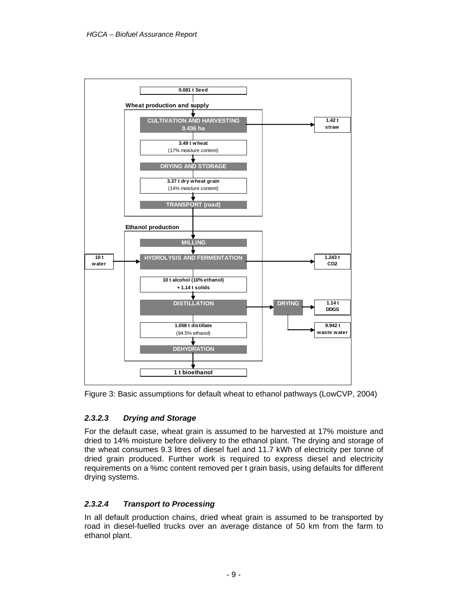

Figure 3: Basic assumptions for default wheat to ethanol pathways (LowCVP, 2004)

### *2.3.2.3 Drying and Storage*

For the default case, wheat grain is assumed to be harvested at 17% moisture and dried to 14% moisture before delivery to the ethanol plant. The drying and storage of the wheat consumes 9.3 litres of diesel fuel and 11.7 kWh of electricity per tonne of dried grain produced. Further work is required to express diesel and electricity requirements on a %mc content removed per t grain basis, using defaults for different drying systems.

### *2.3.2.4 Transport to Processing*

In all default production chains, dried wheat grain is assumed to be transported by road in diesel-fuelled trucks over an average distance of 50 km from the farm to ethanol plant.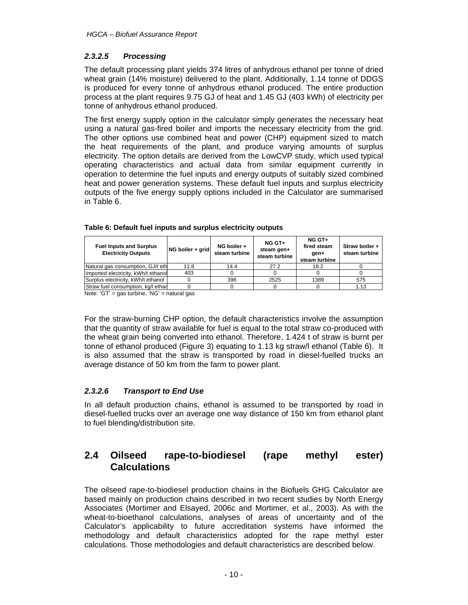### *2.3.2.5 Processing*

The default processing plant yields 374 litres of anhydrous ethanol per tonne of dried wheat grain (14% moisture) delivered to the plant. Additionally, 1.14 tonne of DDGS is produced for every tonne of anhydrous ethanol produced. The entire production process at the plant requires 9.75 GJ of heat and 1.45 GJ (403 kWh) of electricity per tonne of anhydrous ethanol produced.

The first energy supply option in the calculator simply generates the necessary heat using a natural gas-fired boiler and imports the necessary electricity from the grid. The other options use combined heat and power (CHP) equipment sized to match the heat requirements of the plant, and produce varying amounts of surplus electricity. The option details are derived from the LowCVP study, which used typical operating characteristics and actual data from similar equipment currently in operation to determine the fuel inputs and energy outputs of suitably sized combined heat and power generation systems. These default fuel inputs and surplus electricity outputs of the five energy supply options included in the Calculator are summarised in Table 6.

| <b>Fuel Inputs and Surplus</b><br><b>Electricity Outputs</b> | NG boiler + grid | NG boiler +<br>steam turbine | NG GT+<br>steam gen+<br>steam turbine | NG GT+<br>fired steam<br>gen+<br>steam turbine | Straw boiler +<br>steam turbine |
|--------------------------------------------------------------|------------------|------------------------------|---------------------------------------|------------------------------------------------|---------------------------------|
| Natural gas consumption, GJ/t eth                            | 11.8             | 14.4                         | 27.2                                  | 18.2                                           |                                 |
| Imported electricity, kWh/t ethanol                          | 403              |                              |                                       |                                                |                                 |
| Surplus electricity, kWh/t ethanol                           |                  | 396                          | 2525                                  | 1389                                           | 575                             |
| Straw fuel consumption, kg/l ethan                           |                  |                              |                                       |                                                | 1.13                            |

| Table 6: Default fuel inputs and surplus electricity outputs |  |  |
|--------------------------------------------------------------|--|--|
|                                                              |  |  |

Note: 'GT' = gas turbine. 'NG' = natural gas

For the straw-burning CHP option, the default characteristics involve the assumption that the quantity of straw available for fuel is equal to the total straw co-produced with the wheat grain being converted into ethanol. Therefore, 1.424 t of straw is burnt per tonne of ethanol produced (Figure 3) equating to 1.13 kg straw/l ethanol (Table 6). It is also assumed that the straw is transported by road in diesel-fuelled trucks an average distance of 50 km from the farm to power plant.

#### *2.3.2.6 Transport to End Use*

In all default production chains, ethanol is assumed to be transported by road in diesel-fuelled trucks over an average one way distance of 150 km from ethanol plant to fuel blending/distribution site.

### **2.4 Oilseed rape-to-biodiesel (rape methyl ester) Calculations**

The oilseed rape-to-biodiesel production chains in the Biofuels GHG Calculator are based mainly on production chains described in two recent studies by North Energy Associates (Mortimer and Elsayed, 2006c and Mortimer, et al., 2003). As with the wheat-to-bioethanol calculations, analyses of areas of uncertainty and of the Calculator's applicability to future accreditation systems have informed the methodology and default characteristics adopted for the rape methyl ester calculations. Those methodologies and default characteristics are described below.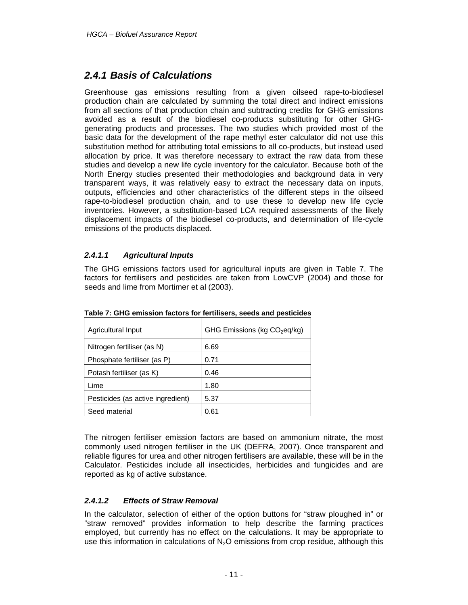### *2.4.1 Basis of Calculations*

Greenhouse gas emissions resulting from a given oilseed rape-to-biodiesel production chain are calculated by summing the total direct and indirect emissions from all sections of that production chain and subtracting credits for GHG emissions avoided as a result of the biodiesel co-products substituting for other GHGgenerating products and processes. The two studies which provided most of the basic data for the development of the rape methyl ester calculator did not use this substitution method for attributing total emissions to all co-products, but instead used allocation by price. It was therefore necessary to extract the raw data from these studies and develop a new life cycle inventory for the calculator. Because both of the North Energy studies presented their methodologies and background data in very transparent ways, it was relatively easy to extract the necessary data on inputs, outputs, efficiencies and other characteristics of the different steps in the oilseed rape-to-biodiesel production chain, and to use these to develop new life cycle inventories. However, a substitution-based LCA required assessments of the likely displacement impacts of the biodiesel co-products, and determination of life-cycle emissions of the products displaced.

#### *2.4.1.1 Agricultural Inputs*

The GHG emissions factors used for agricultural inputs are given in Table 7. The factors for fertilisers and pesticides are taken from LowCVP (2004) and those for seeds and lime from Mortimer et al (2003).

| Agricultural Input                | GHG Emissions (kg CO <sub>2</sub> eq/kg) |
|-----------------------------------|------------------------------------------|
| Nitrogen fertiliser (as N)        | 6.69                                     |
| Phosphate fertiliser (as P)       | 0.71                                     |
| Potash fertiliser (as K)          | 0.46                                     |
| Lime                              | 1.80                                     |
| Pesticides (as active ingredient) | 5.37                                     |
| Seed material                     | 0.61                                     |

**Table 7: GHG emission factors for fertilisers, seeds and pesticides** 

The nitrogen fertiliser emission factors are based on ammonium nitrate, the most commonly used nitrogen fertiliser in the UK (DEFRA, 2007). Once transparent and reliable figures for urea and other nitrogen fertilisers are available, these will be in the Calculator. Pesticides include all insecticides, herbicides and fungicides and are reported as kg of active substance.

#### *2.4.1.2 Effects of Straw Removal*

In the calculator, selection of either of the option buttons for "straw ploughed in" or "straw removed" provides information to help describe the farming practices employed, but currently has no effect on the calculations. It may be appropriate to use this information in calculations of  $N_2O$  emissions from crop residue, although this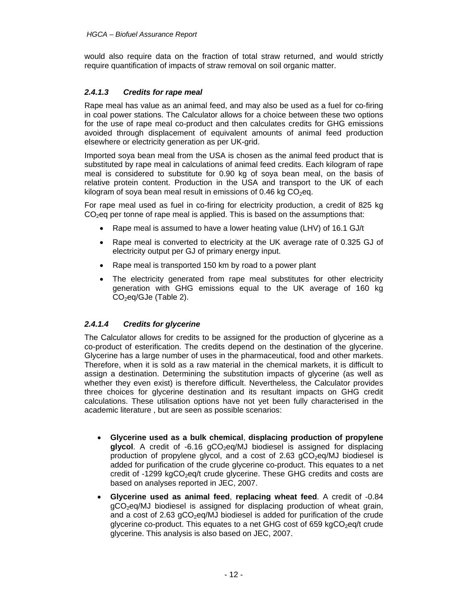would also require data on the fraction of total straw returned, and would strictly require quantification of impacts of straw removal on soil organic matter.

#### *2.4.1.3 Credits for rape meal*

Rape meal has value as an animal feed, and may also be used as a fuel for co-firing in coal power stations. The Calculator allows for a choice between these two options for the use of rape meal co-product and then calculates credits for GHG emissions avoided through displacement of equivalent amounts of animal feed production elsewhere or electricity generation as per UK-grid.

Imported soya bean meal from the USA is chosen as the animal feed product that is substituted by rape meal in calculations of animal feed credits. Each kilogram of rape meal is considered to substitute for 0.90 kg of soya bean meal, on the basis of relative protein content. Production in the USA and transport to the UK of each kilogram of soya bean meal result in emissions of 0.46 kg  $CO<sub>2</sub>$ eq.

For rape meal used as fuel in co-firing for electricity production, a credit of 825 kg CO<sub>2</sub>eq per tonne of rape meal is applied. This is based on the assumptions that:

- Rape meal is assumed to have a lower heating value (LHV) of 16.1 GJ/t
- Rape meal is converted to electricity at the UK average rate of 0.325 GJ of electricity output per GJ of primary energy input.
- Rape meal is transported 150 km by road to a power plant
- The electricity generated from rape meal substitutes for other electricity generation with GHG emissions equal to the UK average of 160 kg  $CO<sub>2</sub>$ eq/GJe (Table 2).

#### *2.4.1.4 Credits for glycerine*

The Calculator allows for credits to be assigned for the production of glycerine as a co-product of esterification. The credits depend on the destination of the glycerine. Glycerine has a large number of uses in the pharmaceutical, food and other markets. Therefore, when it is sold as a raw material in the chemical markets, it is difficult to assign a destination. Determining the substitution impacts of glycerine (as well as whether they even exist) is therefore difficult. Nevertheless, the Calculator provides three choices for glycerine destination and its resultant impacts on GHG credit calculations. These utilisation options have not yet been fully characterised in the academic literature , but are seen as possible scenarios:

- **Glycerine used as a bulk chemical**, **displacing production of propylene**  glycol. A credit of -6.16 gCO<sub>2</sub>eq/MJ biodiesel is assigned for displacing production of propylene glycol, and a cost of  $2.63$  gCO<sub>2</sub>eg/MJ biodiesel is added for purification of the crude glycerine co-product. This equates to a net credit of -1299 kgCO<sub>2</sub>eq/t crude glycerine. These GHG credits and costs are based on analyses reported in JEC, 2007.
- **Glycerine used as animal feed**, **replacing wheat feed**. A credit of -0.84  $qCO<sub>2</sub>$ eq/MJ biodiesel is assigned for displacing production of wheat grain, and a cost of  $2.63$  gCO<sub>2</sub>eg/MJ biodiesel is added for purification of the crude glycerine co-product. This equates to a net GHG cost of 659  $kgCO<sub>2</sub>eq/t$  crude glycerine. This analysis is also based on JEC, 2007.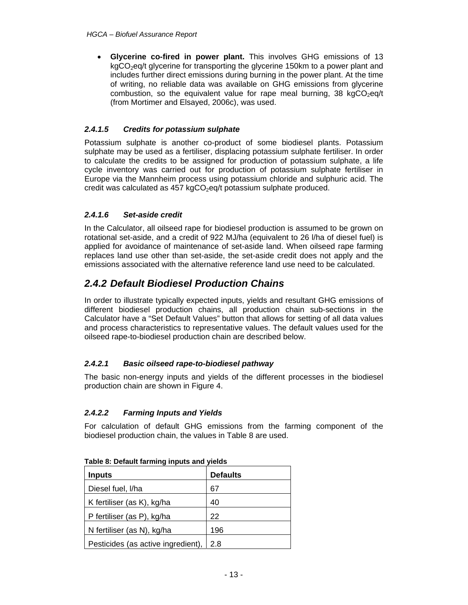• **Glycerine co-fired in power plant.** This involves GHG emissions of 13  $kgCO<sub>2</sub>eq/t$  glycerine for transporting the glycerine 150km to a power plant and includes further direct emissions during burning in the power plant. At the time of writing, no reliable data was available on GHG emissions from glycerine combustion, so the equivalent value for rape meal burning,  $38 \text{ kgCO}_2$ eq/t (from Mortimer and Elsayed, 2006c), was used.

### *2.4.1.5 Credits for potassium sulphate*

Potassium sulphate is another co-product of some biodiesel plants. Potassium sulphate may be used as a fertiliser, displacing potassium sulphate fertiliser. In order to calculate the credits to be assigned for production of potassium sulphate, a life cycle inventory was carried out for production of potassium sulphate fertiliser in Europe via the Mannheim process using potassium chloride and sulphuric acid. The credit was calculated as  $457 \text{ kgCO}_2$ eq/t potassium sulphate produced.

### *2.4.1.6 Set-aside credit*

In the Calculator, all oilseed rape for biodiesel production is assumed to be grown on rotational set-aside, and a credit of 922 MJ/ha (equivalent to 26 l/ha of diesel fuel) is applied for avoidance of maintenance of set-aside land. When oilseed rape farming replaces land use other than set-aside, the set-aside credit does not apply and the emissions associated with the alternative reference land use need to be calculated.

# *2.4.2 Default Biodiesel Production Chains*

In order to illustrate typically expected inputs, yields and resultant GHG emissions of different biodiesel production chains, all production chain sub-sections in the Calculator have a "Set Default Values" button that allows for setting of all data values and process characteristics to representative values. The default values used for the oilseed rape-to-biodiesel production chain are described below.

### *2.4.2.1 Basic oilseed rape-to-biodiesel pathway*

The basic non-energy inputs and yields of the different processes in the biodiesel production chain are shown in Figure 4.

#### *2.4.2.2 Farming Inputs and Yields*

For calculation of default GHG emissions from the farming component of the biodiesel production chain, the values in Table 8 are used.

| <b>Inputs</b>                      | <b>Defaults</b> |
|------------------------------------|-----------------|
| Diesel fuel, I/ha                  | 67              |
| K fertiliser (as K), kg/ha         | 40              |
| P fertiliser (as P), kg/ha         | 22              |
| N fertiliser (as N), kg/ha         | 196             |
| Pesticides (as active ingredient), | 2.8             |

**Table 8: Default farming inputs and yields**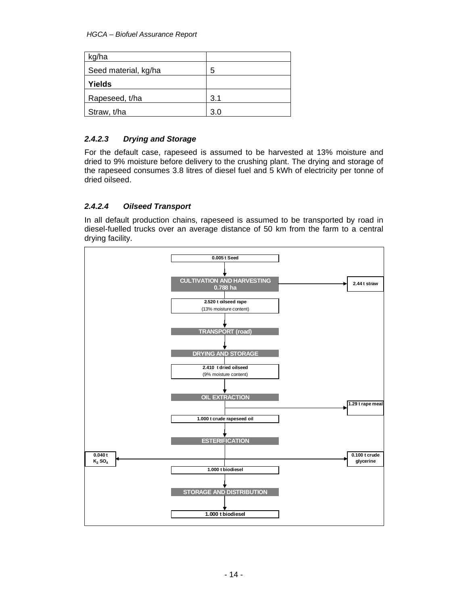*HGCA – Biofuel Assurance Report* 

| kg/ha                |     |
|----------------------|-----|
| Seed material, kg/ha | 5   |
| Yields               |     |
| Rapeseed, t/ha       | 3.1 |
| Straw, t/ha          | 3.0 |

#### *2.4.2.3 Drying and Storage*

For the default case, rapeseed is assumed to be harvested at 13% moisture and dried to 9% moisture before delivery to the crushing plant. The drying and storage of the rapeseed consumes 3.8 litres of diesel fuel and 5 kWh of electricity per tonne of dried oilseed.

#### *2.4.2.4 Oilseed Transport*

In all default production chains, rapeseed is assumed to be transported by road in diesel-fuelled trucks over an average distance of 50 km from the farm to a central drying facility.

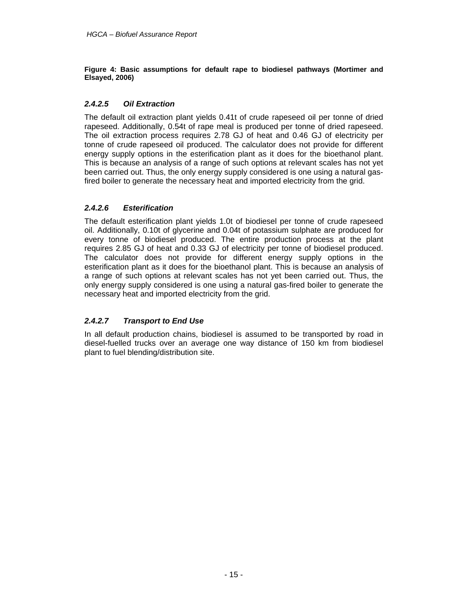**Figure 4: Basic assumptions for default rape to biodiesel pathways (Mortimer and Elsayed, 2006)** 

#### *2.4.2.5 Oil Extraction*

The default oil extraction plant yields 0.41t of crude rapeseed oil per tonne of dried rapeseed. Additionally, 0.54t of rape meal is produced per tonne of dried rapeseed. The oil extraction process requires 2.78 GJ of heat and 0.46 GJ of electricity per tonne of crude rapeseed oil produced. The calculator does not provide for different energy supply options in the esterification plant as it does for the bioethanol plant. This is because an analysis of a range of such options at relevant scales has not yet been carried out. Thus, the only energy supply considered is one using a natural gasfired boiler to generate the necessary heat and imported electricity from the grid.

#### *2.4.2.6 Esterification*

The default esterification plant yields 1.0t of biodiesel per tonne of crude rapeseed oil. Additionally, 0.10t of glycerine and 0.04t of potassium sulphate are produced for every tonne of biodiesel produced. The entire production process at the plant requires 2.85 GJ of heat and 0.33 GJ of electricity per tonne of biodiesel produced. The calculator does not provide for different energy supply options in the esterification plant as it does for the bioethanol plant. This is because an analysis of a range of such options at relevant scales has not yet been carried out. Thus, the only energy supply considered is one using a natural gas-fired boiler to generate the necessary heat and imported electricity from the grid.

#### *2.4.2.7 Transport to End Use*

In all default production chains, biodiesel is assumed to be transported by road in diesel-fuelled trucks over an average one way distance of 150 km from biodiesel plant to fuel blending/distribution site.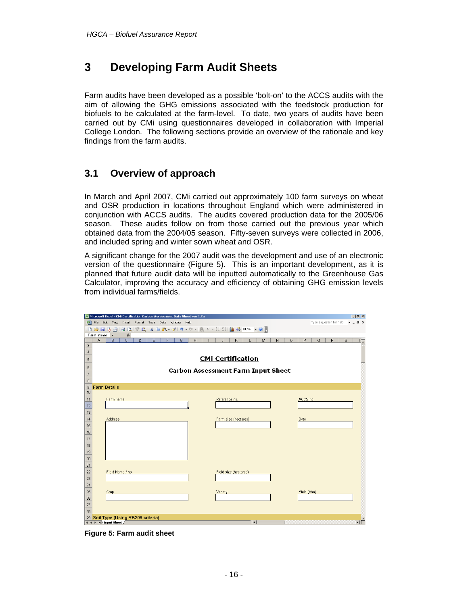# **3 Developing Farm Audit Sheets**

Farm audits have been developed as a possible 'bolt-on' to the ACCS audits with the aim of allowing the GHG emissions associated with the feedstock production for biofuels to be calculated at the farm-level. To date, two years of audits have been carried out by CMi using questionnaires developed in collaboration with Imperial College London. The following sections provide an overview of the rationale and key findings from the farm audits.

### **3.1 Overview of approach**

In March and April 2007, CMi carried out approximately 100 farm surveys on wheat and OSR production in locations throughout England which were administered in conjunction with ACCS audits. The audits covered production data for the 2005/06 season. These audits follow on from those carried out the previous year which obtained data from the 2004/05 season. Fifty-seven surveys were collected in 2006, and included spring and winter sown wheat and OSR.

A significant change for the 2007 audit was the development and use of an electronic version of the questionnaire (Figure 5). This is an important development, as it is planned that future audit data will be inputted automatically to the Greenhouse Gas Calculator, improving the accuracy and efficiency of obtaining GHG emission levels from individual farms/fields.

|                   | Microsoft Excel - CMi Certification Carbon Assessment Data Sheet ver 1.2a                          |                                   | H                            |  |  |  |  |  |  |  |  |  |  |
|-------------------|----------------------------------------------------------------------------------------------------|-----------------------------------|------------------------------|--|--|--|--|--|--|--|--|--|--|
|                   | Type a question for help<br>$   \times$<br>[B] File Edit View Insert Format Tools Data Window Help |                                   |                              |  |  |  |  |  |  |  |  |  |  |
|                   |                                                                                                    |                                   |                              |  |  |  |  |  |  |  |  |  |  |
|                   | Farm name<br>$f_x$                                                                                 |                                   |                              |  |  |  |  |  |  |  |  |  |  |
|                   | $\overline{\mathfrak{c}}$<br>A<br>D<br>$\overline{G}$<br>B<br>E<br>F                               | H<br>K<br>M<br>N<br>$\circ$<br>J. | P<br>Q<br>R.<br>s<br>$T_{-}$ |  |  |  |  |  |  |  |  |  |  |
| $\mathbf{3}$      |                                                                                                    |                                   |                              |  |  |  |  |  |  |  |  |  |  |
| $\sqrt{4}$        | <b>CMi Certification</b>                                                                           |                                   |                              |  |  |  |  |  |  |  |  |  |  |
| 5                 |                                                                                                    |                                   |                              |  |  |  |  |  |  |  |  |  |  |
| 6                 | <b>Carbon Assessment Farm Input Sheet</b>                                                          |                                   |                              |  |  |  |  |  |  |  |  |  |  |
| $\overline{7}$    |                                                                                                    |                                   |                              |  |  |  |  |  |  |  |  |  |  |
| 8                 |                                                                                                    |                                   |                              |  |  |  |  |  |  |  |  |  |  |
| $\mathsf g$<br>10 | <b>Farm Details</b>                                                                                |                                   |                              |  |  |  |  |  |  |  |  |  |  |
| 11                | Farm name                                                                                          | Reference no.                     | ACCS no.                     |  |  |  |  |  |  |  |  |  |  |
| 12                |                                                                                                    |                                   |                              |  |  |  |  |  |  |  |  |  |  |
| 13                |                                                                                                    |                                   |                              |  |  |  |  |  |  |  |  |  |  |
| 14                | Address                                                                                            | Farm size (hectares)              | Date                         |  |  |  |  |  |  |  |  |  |  |
| 15                |                                                                                                    |                                   |                              |  |  |  |  |  |  |  |  |  |  |
| 16                |                                                                                                    |                                   |                              |  |  |  |  |  |  |  |  |  |  |
| 17                |                                                                                                    |                                   |                              |  |  |  |  |  |  |  |  |  |  |
| 18                |                                                                                                    |                                   |                              |  |  |  |  |  |  |  |  |  |  |
| 19                |                                                                                                    |                                   |                              |  |  |  |  |  |  |  |  |  |  |
| 20                |                                                                                                    |                                   |                              |  |  |  |  |  |  |  |  |  |  |
| 21                |                                                                                                    |                                   |                              |  |  |  |  |  |  |  |  |  |  |
| 22                | Field Name / no.                                                                                   | Field size (hectares)             |                              |  |  |  |  |  |  |  |  |  |  |
| 23                |                                                                                                    |                                   |                              |  |  |  |  |  |  |  |  |  |  |
| 24                |                                                                                                    |                                   |                              |  |  |  |  |  |  |  |  |  |  |
| 25                | Crop                                                                                               | Variety                           | Yield (t/ha)                 |  |  |  |  |  |  |  |  |  |  |
| 26                |                                                                                                    |                                   |                              |  |  |  |  |  |  |  |  |  |  |
| $27\,$            |                                                                                                    |                                   |                              |  |  |  |  |  |  |  |  |  |  |
| 28                |                                                                                                    |                                   |                              |  |  |  |  |  |  |  |  |  |  |
|                   | 29 Soil Type (Using RB209 criteria)<br><b>H.A. K. N. Thout Sheet / Committee</b>                   | ita t                             | 군                            |  |  |  |  |  |  |  |  |  |  |

**Figure 5: Farm audit sheet**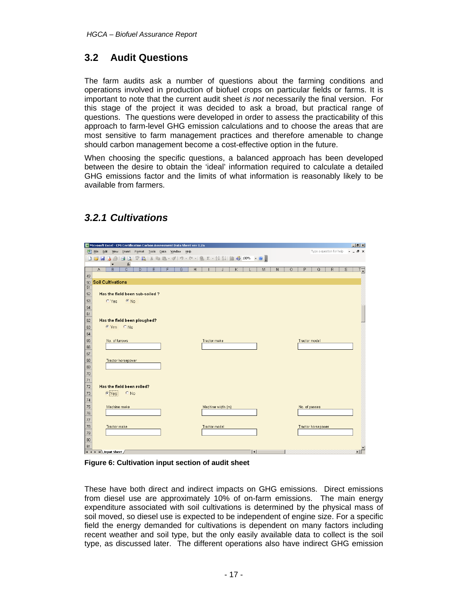### **3.2 Audit Questions**

The farm audits ask a number of questions about the farming conditions and operations involved in production of biofuel crops on particular fields or farms. It is important to note that the current audit sheet *is not* necessarily the final version. For this stage of the project it was decided to ask a broad, but practical range of questions. The questions were developed in order to assess the practicability of this approach to farm-level GHG emission calculations and to choose the areas that are most sensitive to farm management practices and therefore amenable to change should carbon management become a cost-effective option in the future.

When choosing the specific questions, a balanced approach has been developed between the desire to obtain the 'ideal' information required to calculate a detailed GHG emissions factor and the limits of what information is reasonably likely to be available from farmers.

|          | Microsoft Excel - CMi Certification Carbon Assessment Data Sheet ver 1.2a<br>$  $ $ $ $\times$ $ $ |                                                                                           |        |   |   |                |   |  |                   |   |             |   |             |   |         |   |                      |                |   |                    |
|----------|----------------------------------------------------------------------------------------------------|-------------------------------------------------------------------------------------------|--------|---|---|----------------|---|--|-------------------|---|-------------|---|-------------|---|---------|---|----------------------|----------------|---|--------------------|
| 国        | File Edit View Insert Format Tools Data Window Help<br>Type a question for help<br>$B \times$      |                                                                                           |        |   |   |                |   |  |                   |   |             |   |             |   |         |   |                      |                |   |                    |
|          |                                                                                                    | <b>: D B B B B B Q   ♡ B   X B B - √   9 - C -   &amp; Σ - {I X   {II + \$ 100% - ⊙ }</b> |        |   |   |                |   |  |                   |   |             |   |             |   |         |   |                      |                |   |                    |
|          |                                                                                                    | $\blacktriangledown$                                                                      | $f_x$  |   |   |                |   |  |                   |   |             |   |             |   |         |   |                      |                |   |                    |
|          | A                                                                                                  | $\overline{C}$<br>B                                                                       | D      | E | F | $\overline{G}$ | H |  | т                 | J | $\mathsf K$ | L | M           | N | $\circ$ | P | $\overline{Q}$       | $\overline{R}$ | s | $T_{\overline{A}}$ |
| 49<br>50 |                                                                                                    | <b>Soil Cultivations</b>                                                                  |        |   |   |                |   |  |                   |   |             |   |             |   |         |   |                      |                |   |                    |
| 51       |                                                                                                    |                                                                                           |        |   |   |                |   |  |                   |   |             |   |             |   |         |   |                      |                |   |                    |
| 52       |                                                                                                    | Has the field been sub-soiled?                                                            |        |   |   |                |   |  |                   |   |             |   |             |   |         |   |                      |                |   |                    |
| 53       |                                                                                                    | $CYes$ $@N0$                                                                              |        |   |   |                |   |  |                   |   |             |   |             |   |         |   |                      |                |   |                    |
| 54       |                                                                                                    |                                                                                           |        |   |   |                |   |  |                   |   |             |   |             |   |         |   |                      |                |   |                    |
| 61       |                                                                                                    |                                                                                           |        |   |   |                |   |  |                   |   |             |   |             |   |         |   |                      |                |   |                    |
| 62       |                                                                                                    | Has the field been ploughed?                                                              |        |   |   |                |   |  |                   |   |             |   |             |   |         |   |                      |                |   |                    |
| 63       |                                                                                                    | CYes CNo.                                                                                 |        |   |   |                |   |  |                   |   |             |   |             |   |         |   |                      |                |   |                    |
| 64       |                                                                                                    |                                                                                           |        |   |   |                |   |  |                   |   |             |   |             |   |         |   |                      |                |   |                    |
| 65       |                                                                                                    | No. of furrows                                                                            |        |   |   |                |   |  | Tractor make      |   |             |   |             |   |         |   | <b>Tractor model</b> |                |   |                    |
| 66       |                                                                                                    |                                                                                           |        |   |   |                |   |  |                   |   |             |   |             |   |         |   |                      |                |   |                    |
| 67       |                                                                                                    |                                                                                           |        |   |   |                |   |  |                   |   |             |   |             |   |         |   |                      |                |   |                    |
| 68       |                                                                                                    | Tractor horsepower                                                                        |        |   |   |                |   |  |                   |   |             |   |             |   |         |   |                      |                |   |                    |
| 69       |                                                                                                    |                                                                                           |        |   |   |                |   |  |                   |   |             |   |             |   |         |   |                      |                |   |                    |
| 70       |                                                                                                    |                                                                                           |        |   |   |                |   |  |                   |   |             |   |             |   |         |   |                      |                |   |                    |
| 71       |                                                                                                    |                                                                                           |        |   |   |                |   |  |                   |   |             |   |             |   |         |   |                      |                |   |                    |
| 72       |                                                                                                    | Has the field been rolled?                                                                |        |   |   |                |   |  |                   |   |             |   |             |   |         |   |                      |                |   |                    |
| 73       |                                                                                                    | $c$ Yes                                                                                   | $C$ No |   |   |                |   |  |                   |   |             |   |             |   |         |   |                      |                |   |                    |
| 74       |                                                                                                    |                                                                                           |        |   |   |                |   |  |                   |   |             |   |             |   |         |   |                      |                |   |                    |
| 75       |                                                                                                    | Machine make                                                                              |        |   |   |                |   |  | Machine width (m) |   |             |   |             |   |         |   | No. of passes        |                |   |                    |
| 76       |                                                                                                    |                                                                                           |        |   |   |                |   |  |                   |   |             |   |             |   |         |   |                      |                |   |                    |
| 77       |                                                                                                    |                                                                                           |        |   |   |                |   |  |                   |   |             |   |             |   |         |   |                      |                |   |                    |
| 78       |                                                                                                    | Tractor make                                                                              |        |   |   |                |   |  | Tractor model     |   |             |   |             |   |         |   | Tractor horsepower   |                |   |                    |
| 79<br>80 |                                                                                                    |                                                                                           |        |   |   |                |   |  |                   |   |             |   |             |   |         |   |                      |                |   |                    |
| 81       |                                                                                                    |                                                                                           |        |   |   |                |   |  |                   |   |             |   |             |   |         |   |                      |                |   |                    |
|          |                                                                                                    | H 4 F H Input Sheet /                                                                     |        |   |   |                |   |  |                   |   |             |   | $  \cdot  $ |   |         |   |                      |                |   | иĚ                 |

# *3.2.1 Cultivations*

**Figure 6: Cultivation input section of audit sheet** 

These have both direct and indirect impacts on GHG emissions. Direct emissions from diesel use are approximately 10% of on-farm emissions. The main energy expenditure associated with soil cultivations is determined by the physical mass of soil moved, so diesel use is expected to be independent of engine size. For a specific field the energy demanded for cultivations is dependent on many factors including recent weather and soil type, but the only easily available data to collect is the soil type, as discussed later. The different operations also have indirect GHG emission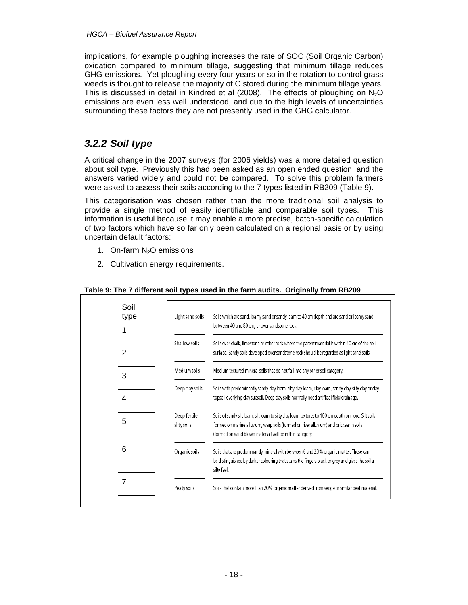implications, for example ploughing increases the rate of SOC (Soil Organic Carbon) oxidation compared to minimum tillage, suggesting that minimum tillage reduces GHG emissions. Yet ploughing every four years or so in the rotation to control grass weeds is thought to release the majority of C stored during the minimum tillage years. This is discussed in detail in Kindred et al (2008). The effects of ploughing on  $N_2O$ emissions are even less well understood, and due to the high levels of uncertainties surrounding these factors they are not presently used in the GHG calculator.

### *3.2.2 Soil type*

A critical change in the 2007 surveys (for 2006 yields) was a more detailed question about soil type. Previously this had been asked as an open ended question, and the answers varied widely and could not be compared. To solve this problem farmers were asked to assess their soils according to the 7 types listed in RB209 (Table 9).

This categorisation was chosen rather than the more traditional soil analysis to provide a single method of easily identifiable and comparable soil types. This information is useful because it may enable a more precise, batch-specific calculation of two factors which have so far only been calculated on a regional basis or by using uncertain default factors:

- 1. On-farm N<sub>2</sub>O emissions
- 2. Cultivation energy requirements.

| Soil<br>type<br>1 | Light sand soils            | Soils which are sand, loamy sand or sandy loam to 40 cm depth and are sand or loamy sand<br>between 40 and 80 cm, or over sandstone rock.                                                                                                                 |
|-------------------|-----------------------------|-----------------------------------------------------------------------------------------------------------------------------------------------------------------------------------------------------------------------------------------------------------|
| 2                 | Shallow soils               | Soils over chalk, limestone or other rock where the parent material is within 40 cm of the soil<br>surface. Sandy soils developed over sandstone rock should be regarded as light sand soils.                                                             |
| 3                 | Medium soils                | Medium textured mineral soils that do not fall into any other soil category.                                                                                                                                                                              |
| 4                 | Deep clay soils             | Soils with predominantly sandy clay loam, silty clay loam, clay loam, sandy clay, silty clay or clay<br>topsoil overlying clay subsoil. Deep clay soils normally need artificial field drainage.                                                          |
| 5                 | Deep fertile<br>silty soils | Soils of sandy silt loam, silt loam to silty clay loam textures to 100 cm depth or more. Silt soils<br>formed on marine alluvium, warp soils (formed on river alluvium) and brickearth soils<br>(formed on wind blown material) will be in this category. |
| 6                 | Organic soils               | Soils that are predominantly mineral with between 6 and 20% organic matter. These can<br>be distinguished by darker colouring that stains the fingers black or grey and gives the soil a<br>silty feel.                                                   |
| 7                 | Peaty soils                 | Soils that contain more than 20% organic matter derived from sedge or similar peat material.                                                                                                                                                              |

#### **Table 9: The 7 different soil types used in the farm audits. Originally from RB209**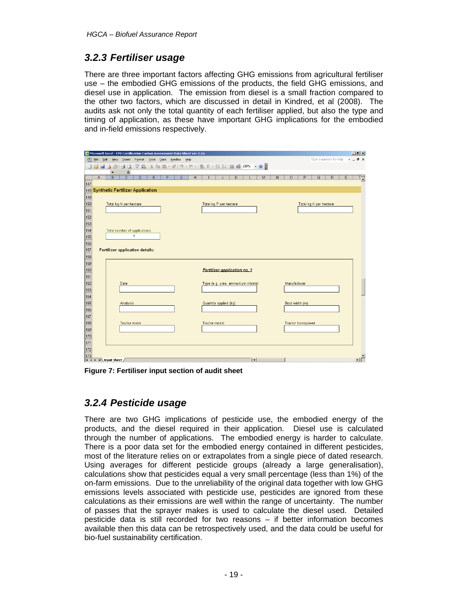### *3.2.3 Fertiliser usage*

There are three important factors affecting GHG emissions from agricultural fertiliser use – the embodied GHG emissions of the products, the field GHG emissions, and diesel use in application. The emission from diesel is a small fraction compared to the other two factors, which are discussed in detail in Kindred, et al (2008). The audits ask not only the total quantity of each fertiliser applied, but also the type and timing of application, as these have important GHG implications for the embodied and in-field emissions respectively.

|            | Microsoft Excel - CMi Certification Carbon Assessment Data Sheet ver 1.2a<br>$  $ $P$ $ $ $\times$  |                                                                            |                |                              |   |  |   |                |  |   |  |                       |   |  |   |                                    |             |   |   |         |              |                    |   |   |   |               |
|------------|-----------------------------------------------------------------------------------------------------|----------------------------------------------------------------------------|----------------|------------------------------|---|--|---|----------------|--|---|--|-----------------------|---|--|---|------------------------------------|-------------|---|---|---------|--------------|--------------------|---|---|---|---------------|
|            | Edit View Insert Format Tools Data Window Help<br>国) Elle<br>Type a question for help<br>a x        |                                                                            |                |                              |   |  |   |                |  |   |  |                       |   |  |   |                                    |             |   |   |         |              |                    |   |   |   |               |
|            | <b>: D B B B B B Q   ♡ B   X B B - ♂   9 - @ -   8 ∑ - {↓ {↓   {   4} 100% - ⊙ <mark>-</mark>  </b> |                                                                            |                |                              |   |  |   |                |  |   |  |                       |   |  |   |                                    |             |   |   |         |              |                    |   |   |   |               |
|            |                                                                                                     | $\blacktriangledown$                                                       | $f_x$          |                              |   |  |   |                |  |   |  |                       |   |  |   |                                    |             |   |   |         |              |                    |   |   |   |               |
|            | А                                                                                                   | B                                                                          | $\overline{C}$ | D                            | E |  | F | $\overline{G}$ |  | H |  |                       | J |  | Κ |                                    |             | M | N | $\circ$ |              | P                  | Q | R | s | $T_{\bullet}$ |
| 147        |                                                                                                     |                                                                            |                |                              |   |  |   |                |  |   |  |                       |   |  |   |                                    |             |   |   |         |              |                    |   |   |   |               |
|            | 148 Synthetic Fertilizer Application<br>149                                                         |                                                                            |                |                              |   |  |   |                |  |   |  |                       |   |  |   |                                    |             |   |   |         |              |                    |   |   |   |               |
| 150        |                                                                                                     |                                                                            |                |                              |   |  |   |                |  |   |  |                       |   |  |   |                                    |             |   |   |         |              |                    |   |   |   |               |
| 151        |                                                                                                     | Total kg N per hectare<br>Total kg P per hectare<br>Total kg K per hectare |                |                              |   |  |   |                |  |   |  |                       |   |  |   |                                    |             |   |   |         |              |                    |   |   |   |               |
| 152        |                                                                                                     |                                                                            |                |                              |   |  |   |                |  |   |  |                       |   |  |   |                                    |             |   |   |         |              |                    |   |   |   |               |
| 153        |                                                                                                     |                                                                            |                |                              |   |  |   |                |  |   |  |                       |   |  |   |                                    |             |   |   |         |              |                    |   |   |   |               |
| 154        |                                                                                                     |                                                                            |                | Total number of applications |   |  |   |                |  |   |  |                       |   |  |   |                                    |             |   |   |         |              |                    |   |   |   |               |
| 155        |                                                                                                     |                                                                            |                | $\mathbf{1}$                 |   |  |   |                |  |   |  |                       |   |  |   |                                    |             |   |   |         |              |                    |   |   |   |               |
| 156        |                                                                                                     |                                                                            |                |                              |   |  |   |                |  |   |  |                       |   |  |   |                                    |             |   |   |         |              |                    |   |   |   |               |
| 157        |                                                                                                     | <b>Fertilizer application details:</b>                                     |                |                              |   |  |   |                |  |   |  |                       |   |  |   |                                    |             |   |   |         |              |                    |   |   |   |               |
| 158        |                                                                                                     |                                                                            |                |                              |   |  |   |                |  |   |  |                       |   |  |   |                                    |             |   |   |         |              |                    |   |   |   |               |
| 159        |                                                                                                     |                                                                            |                |                              |   |  |   |                |  |   |  |                       |   |  |   |                                    |             |   |   |         |              |                    |   |   |   |               |
| 160        |                                                                                                     |                                                                            |                |                              |   |  |   |                |  |   |  |                       |   |  |   | Fertiliser application no. 1       |             |   |   |         |              |                    |   |   |   |               |
| 161        |                                                                                                     |                                                                            |                |                              |   |  |   |                |  |   |  |                       |   |  |   |                                    |             |   |   |         |              |                    |   |   |   |               |
| 162        |                                                                                                     |                                                                            | Date           |                              |   |  |   |                |  |   |  |                       |   |  |   | Type (e.g. urea, ammonium nitrate) |             |   |   |         | Manufacturer |                    |   |   |   |               |
| 163        |                                                                                                     |                                                                            |                |                              |   |  |   |                |  |   |  |                       |   |  |   |                                    |             |   |   |         |              |                    |   |   |   |               |
| 164        |                                                                                                     |                                                                            |                |                              |   |  |   |                |  |   |  |                       |   |  |   |                                    |             |   |   |         |              |                    |   |   |   |               |
| 165<br>166 |                                                                                                     |                                                                            | Analysis       |                              |   |  |   |                |  |   |  | Quantity applied (kg) |   |  |   |                                    |             |   |   |         |              | Bout width (m)     |   |   |   |               |
| 167        |                                                                                                     |                                                                            |                |                              |   |  |   |                |  |   |  |                       |   |  |   |                                    |             |   |   |         |              |                    |   |   |   |               |
| 168        |                                                                                                     |                                                                            | Tractor make   |                              |   |  |   |                |  |   |  | Tractor model         |   |  |   |                                    |             |   |   |         |              | Tractor horsepower |   |   |   |               |
| 169        |                                                                                                     |                                                                            |                |                              |   |  |   |                |  |   |  |                       |   |  |   |                                    |             |   |   |         |              |                    |   |   |   |               |
| 170        |                                                                                                     |                                                                            |                |                              |   |  |   |                |  |   |  |                       |   |  |   |                                    |             |   |   |         |              |                    |   |   |   |               |
| 171        |                                                                                                     |                                                                            |                |                              |   |  |   |                |  |   |  |                       |   |  |   |                                    |             |   |   |         |              |                    |   |   |   |               |
| 172        |                                                                                                     |                                                                            |                |                              |   |  |   |                |  |   |  |                       |   |  |   |                                    |             |   |   |         |              |                    |   |   |   |               |
| 173        |                                                                                                     |                                                                            |                |                              |   |  |   |                |  |   |  |                       |   |  |   |                                    |             |   |   |         |              |                    |   |   |   | ٠ıċ           |
|            |                                                                                                     | H 4 } H Input Sheet /                                                      |                |                              |   |  |   |                |  |   |  |                       |   |  |   |                                    | $  \cdot  $ |   |   |         |              |                    |   |   |   |               |

**Figure 7: Fertiliser input section of audit sheet** 

### *3.2.4 Pesticide usage*

There are two GHG implications of pesticide use, the embodied energy of the products, and the diesel required in their application. Diesel use is calculated through the number of applications. The embodied energy is harder to calculate. There is a poor data set for the embodied energy contained in different pesticides, most of the literature relies on or extrapolates from a single piece of dated research. Using averages for different pesticide groups (already a large generalisation), calculations show that pesticides equal a very small percentage (less than 1%) of the on-farm emissions. Due to the unreliability of the original data together with low GHG emissions levels associated with pesticide use, pesticides are ignored from these calculations as their emissions are well within the range of uncertainty. The number of passes that the sprayer makes is used to calculate the diesel used. Detailed pesticide data is still recorded for two reasons – if better information becomes available then this data can be retrospectively used, and the data could be useful for bio-fuel sustainability certification.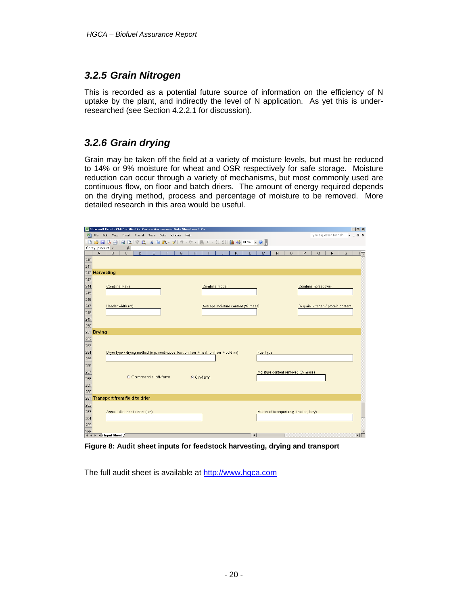### *3.2.5 Grain Nitrogen*

This is recorded as a potential future source of information on the efficiency of N uptake by the plant, and indirectly the level of N application. As yet this is underresearched (see Section 4.2.2.1 for discussion).

### *3.2.6 Grain drying*

Grain may be taken off the field at a variety of moisture levels, but must be reduced to 14% or 9% moisture for wheat and OSR respectively for safe storage. Moisture reduction can occur through a variety of mechanisms, but most commonly used are continuous flow, on floor and batch driers. The amount of energy required depends on the drying method, process and percentage of moisture to be removed. More detailed research in this area would be useful.



**Figure 8: Audit sheet inputs for feedstock harvesting, drying and transport** 

The full audit sheet is available at http://www.hgca.com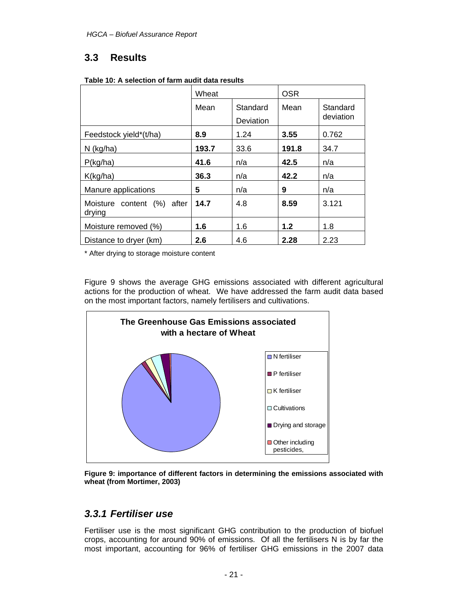# **3.3 Results**

|                                      | Wheat |                       | <b>OSR</b> |                       |
|--------------------------------------|-------|-----------------------|------------|-----------------------|
|                                      | Mean  | Standard<br>Deviation | Mean       | Standard<br>deviation |
| Feedstock yield*(t/ha)               | 8.9   | 1.24                  | 3.55       | 0.762                 |
| $N$ (kg/ha)                          | 193.7 | 33.6                  | 191.8      | 34.7                  |
| P(kg/ha)                             | 41.6  | n/a                   | 42.5       | n/a                   |
| K(kg/ha)                             | 36.3  | n/a                   | 42.2       | n/a                   |
| Manure applications                  | 5     | n/a                   | 9          | n/a                   |
| Moisture content (%) after<br>drying | 14.7  | 4.8                   | 8.59       | 3.121                 |
| Moisture removed (%)                 | 1.6   | 1.6                   | 1.2        | 1.8                   |
| Distance to dryer (km)               | 2.6   | 4.6                   | 2.28       | 2.23                  |

|  |  | Table 10: A selection of farm audit data results |
|--|--|--------------------------------------------------|
|--|--|--------------------------------------------------|

\* After drying to storage moisture content

Figure 9 shows the average GHG emissions associated with different agricultural actions for the production of wheat. We have addressed the farm audit data based on the most important factors, namely fertilisers and cultivations.



**Figure 9: importance of different factors in determining the emissions associated with wheat (from Mortimer, 2003)** 

### *3.3.1 Fertiliser use*

Fertiliser use is the most significant GHG contribution to the production of biofuel crops, accounting for around 90% of emissions. Of all the fertilisers N is by far the most important, accounting for 96% of fertiliser GHG emissions in the 2007 data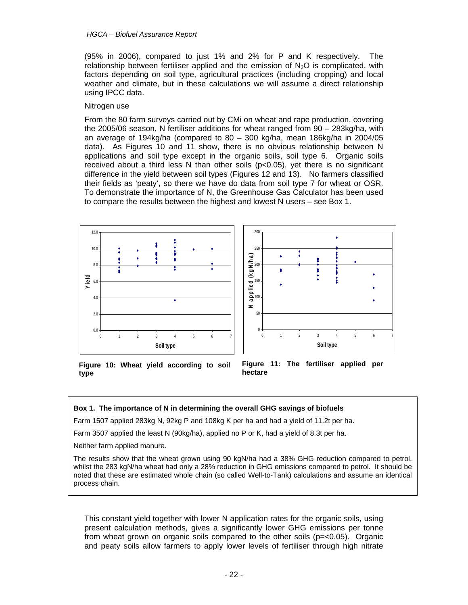(95% in 2006), compared to just 1% and 2% for P and K respectively. The relationship between fertiliser applied and the emission of  $N<sub>2</sub>O$  is complicated, with factors depending on soil type, agricultural practices (including cropping) and local weather and climate, but in these calculations we will assume a direct relationship using IPCC data.

#### Nitrogen use

From the 80 farm surveys carried out by CMi on wheat and rape production, covering the 2005/06 season, N fertiliser additions for wheat ranged from 90 – 283kg/ha, with an average of 194kg/ha (compared to 80 – 300 kg/ha, mean 186kg/ha in 2004/05 data). As Figures 10 and 11 show, there is no obvious relationship between N applications and soil type except in the organic soils, soil type 6. Organic soils received about a third less N than other soils  $(p<0.05)$ , yet there is no significant difference in the yield between soil types (Figures 12 and 13). No farmers classified their fields as 'peaty', so there we have do data from soil type 7 for wheat or OSR. To demonstrate the importance of N, the Greenhouse Gas Calculator has been used to compare the results between the highest and lowest N users – see Box 1.



**Figure 10: Wheat yield according to soil type** 

**Figure 11: The fertiliser applied per hectare** 

#### **Box 1. The importance of N in determining the overall GHG savings of biofuels**

Farm 1507 applied 283kg N, 92kg P and 108kg K per ha and had a yield of 11.2t per ha.

Farm 3507 applied the least N (90kg/ha), applied no P or K, had a yield of 8.3t per ha.

Neither farm applied manure.

The results show that the wheat grown using 90 kgN/ha had a 38% GHG reduction compared to petrol, whilst the 283 kgN/ha wheat had only a 28% reduction in GHG emissions compared to petrol. It should be noted that these are estimated whole chain (so called Well-to-Tank) calculations and assume an identical process chain.

This constant yield together with lower N application rates for the organic soils, using present calculation methods, gives a significantly lower GHG emissions per tonne from wheat grown on organic soils compared to the other soils (p=<0.05). Organic and peaty soils allow farmers to apply lower levels of fertiliser through high nitrate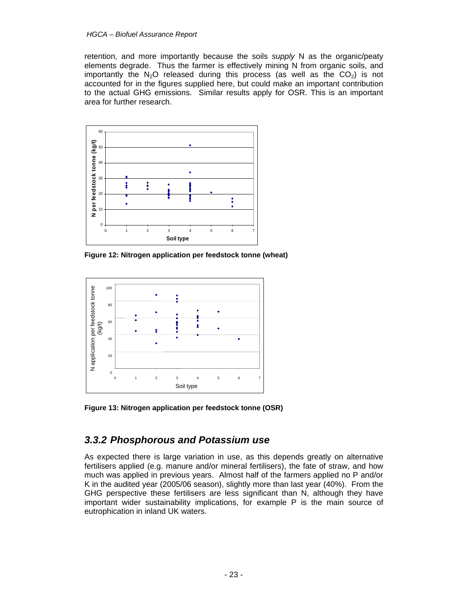#### *HGCA – Biofuel Assurance Report*

retention, and more importantly because the soils *supply* N as the organic/peaty elements degrade. Thus the farmer is effectively mining N from organic soils, and importantly the  $N_2O$  released during this process (as well as the  $CO<sub>2</sub>$ ) is not accounted for in the figures supplied here, but could make an important contribution to the actual GHG emissions. Similar results apply for OSR. This is an important area for further research.



**Figure 12: Nitrogen application per feedstock tonne (wheat)** 



**Figure 13: Nitrogen application per feedstock tonne (OSR)** 

### *3.3.2 Phosphorous and Potassium use*

As expected there is large variation in use, as this depends greatly on alternative fertilisers applied (e.g. manure and/or mineral fertilisers), the fate of straw, and how much was applied in previous years. Almost half of the farmers applied no P and/or K in the audited year (2005/06 season), slightly more than last year (40%). From the GHG perspective these fertilisers are less significant than N, although they have important wider sustainability implications, for example P is the main source of eutrophication in inland UK waters.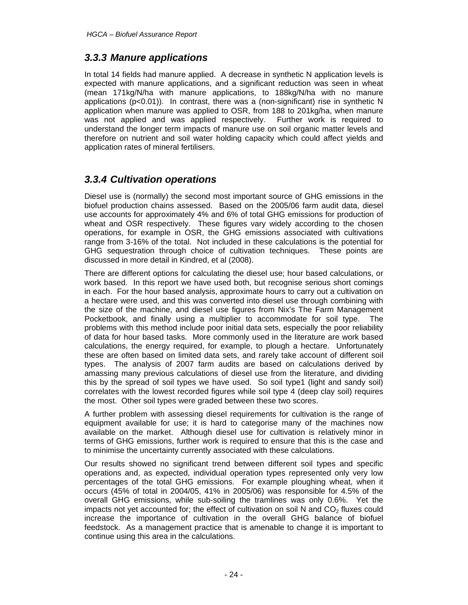### *3.3.3 Manure applications*

In total 14 fields had manure applied. A decrease in synthetic N application levels is expected with manure applications, and a significant reduction was seen in wheat (mean 171kg/N/ha with manure applications, to 188kg/N/ha with no manure applications ( $p<0.01$ )). In contrast, there was a (non-significant) rise in synthetic N application when manure was applied to OSR, from 188 to 201kg/ha, when manure was not applied and was applied respectively. Further work is required to understand the longer term impacts of manure use on soil organic matter levels and therefore on nutrient and soil water holding capacity which could affect yields and application rates of mineral fertilisers.

### *3.3.4 Cultivation operations*

Diesel use is (normally) the second most important source of GHG emissions in the biofuel production chains assessed. Based on the 2005/06 farm audit data, diesel use accounts for approximately 4% and 6% of total GHG emissions for production of wheat and OSR respectively. These figures vary widely according to the chosen operations, for example in OSR, the GHG emissions associated with cultivations range from 3-16% of the total. Not included in these calculations is the potential for GHG sequestration through choice of cultivation techniques. These points are discussed in more detail in Kindred, et al (2008).

There are different options for calculating the diesel use; hour based calculations, or work based. In this report we have used both, but recognise serious short comings in each. For the hour based analysis, approximate hours to carry out a cultivation on a hectare were used, and this was converted into diesel use through combining with the size of the machine, and diesel use figures from Nix's The Farm Management Pocketbook, and finally using a multiplier to accommodate for soil type. The problems with this method include poor initial data sets, especially the poor reliability of data for hour based tasks. More commonly used in the literature are work based calculations, the energy required, for example, to plough a hectare. Unfortunately these are often based on limited data sets, and rarely take account of different soil types. The analysis of 2007 farm audits are based on calculations derived by amassing many previous calculations of diesel use from the literature, and dividing this by the spread of soil types we have used. So soil type1 (light and sandy soil) correlates with the lowest recorded figures while soil type 4 (deep clay soil) requires the most. Other soil types were graded between these two scores.

A further problem with assessing diesel requirements for cultivation is the range of equipment available for use; it is hard to categorise many of the machines now available on the market. Although diesel use for cultivation is relatively minor in terms of GHG emissions, further work is required to ensure that this is the case and to minimise the uncertainty currently associated with these calculations.

Our results showed no significant trend between different soil types and specific operations and, as expected, individual operation types represented only very low percentages of the total GHG emissions. For example ploughing wheat, when it occurs (45% of total in 2004/05, 41% in 2005/06) was responsible for 4.5% of the overall GHG emissions, while sub-soiling the tramlines was only 0.6%. Yet the impacts not yet accounted for; the effect of cultivation on soil N and  $CO<sub>2</sub>$  fluxes could increase the importance of cultivation in the overall GHG balance of biofuel feedstock. As a management practice that is amenable to change it is important to continue using this area in the calculations.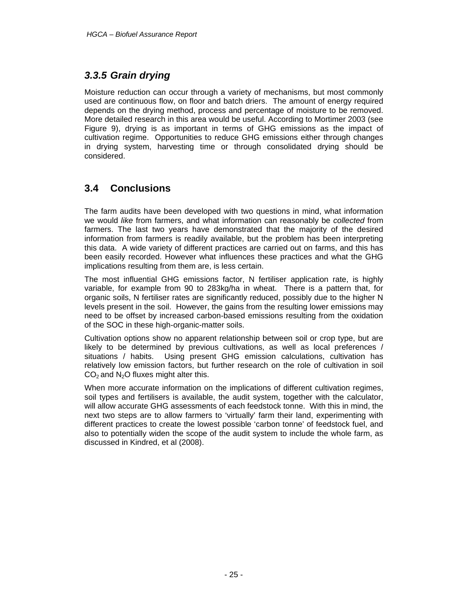### *3.3.5 Grain drying*

Moisture reduction can occur through a variety of mechanisms, but most commonly used are continuous flow, on floor and batch driers. The amount of energy required depends on the drying method, process and percentage of moisture to be removed. More detailed research in this area would be useful. According to Mortimer 2003 (see Figure 9), drying is as important in terms of GHG emissions as the impact of cultivation regime. Opportunities to reduce GHG emissions either through changes in drying system, harvesting time or through consolidated drying should be considered.

# **3.4 Conclusions**

The farm audits have been developed with two questions in mind, what information we would *like* from farmers, and what information can reasonably be *collected* from farmers. The last two years have demonstrated that the majority of the desired information from farmers is readily available, but the problem has been interpreting this data. A wide variety of different practices are carried out on farms, and this has been easily recorded. However what influences these practices and what the GHG implications resulting from them are, is less certain.

The most influential GHG emissions factor, N fertiliser application rate, is highly variable, for example from 90 to 283kg/ha in wheat. There is a pattern that, for organic soils, N fertiliser rates are significantly reduced, possibly due to the higher N levels present in the soil. However, the gains from the resulting lower emissions may need to be offset by increased carbon-based emissions resulting from the oxidation of the SOC in these high-organic-matter soils.

Cultivation options show no apparent relationship between soil or crop type, but are likely to be determined by previous cultivations, as well as local preferences / situations / habits. Using present GHG emission calculations, cultivation has relatively low emission factors, but further research on the role of cultivation in soil  $CO<sub>2</sub>$  and N<sub>2</sub>O fluxes might alter this.

When more accurate information on the implications of different cultivation regimes, soil types and fertilisers is available, the audit system, together with the calculator, will allow accurate GHG assessments of each feedstock tonne. With this in mind, the next two steps are to allow farmers to 'virtually' farm their land, experimenting with different practices to create the lowest possible 'carbon tonne' of feedstock fuel, and also to potentially widen the scope of the audit system to include the whole farm, as discussed in Kindred, et al (2008).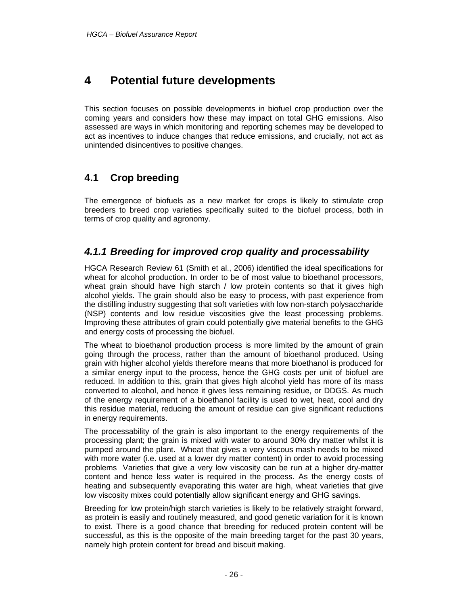# **4 Potential future developments**

This section focuses on possible developments in biofuel crop production over the coming years and considers how these may impact on total GHG emissions. Also assessed are ways in which monitoring and reporting schemes may be developed to act as incentives to induce changes that reduce emissions, and crucially, not act as unintended disincentives to positive changes.

# **4.1 Crop breeding**

The emergence of biofuels as a new market for crops is likely to stimulate crop breeders to breed crop varieties specifically suited to the biofuel process, both in terms of crop quality and agronomy.

### *4.1.1 Breeding for improved crop quality and processability*

HGCA Research Review 61 (Smith et al., 2006) identified the ideal specifications for wheat for alcohol production. In order to be of most value to bioethanol processors, wheat grain should have high starch / low protein contents so that it gives high alcohol yields. The grain should also be easy to process, with past experience from the distilling industry suggesting that soft varieties with low non-starch polysaccharide (NSP) contents and low residue viscosities give the least processing problems. Improving these attributes of grain could potentially give material benefits to the GHG and energy costs of processing the biofuel.

The wheat to bioethanol production process is more limited by the amount of grain going through the process, rather than the amount of bioethanol produced. Using grain with higher alcohol yields therefore means that more bioethanol is produced for a similar energy input to the process, hence the GHG costs per unit of biofuel are reduced. In addition to this, grain that gives high alcohol yield has more of its mass converted to alcohol, and hence it gives less remaining residue, or DDGS. As much of the energy requirement of a bioethanol facility is used to wet, heat, cool and dry this residue material, reducing the amount of residue can give significant reductions in energy requirements.

The processability of the grain is also important to the energy requirements of the processing plant; the grain is mixed with water to around 30% dry matter whilst it is pumped around the plant. Wheat that gives a very viscous mash needs to be mixed with more water (i.e. used at a lower dry matter content) in order to avoid processing problems Varieties that give a very low viscosity can be run at a higher dry-matter content and hence less water is required in the process. As the energy costs of heating and subsequently evaporating this water are high, wheat varieties that give low viscosity mixes could potentially allow significant energy and GHG savings.

Breeding for low protein/high starch varieties is likely to be relatively straight forward, as protein is easily and routinely measured, and good genetic variation for it is known to exist. There is a good chance that breeding for reduced protein content will be successful, as this is the opposite of the main breeding target for the past 30 years, namely high protein content for bread and biscuit making.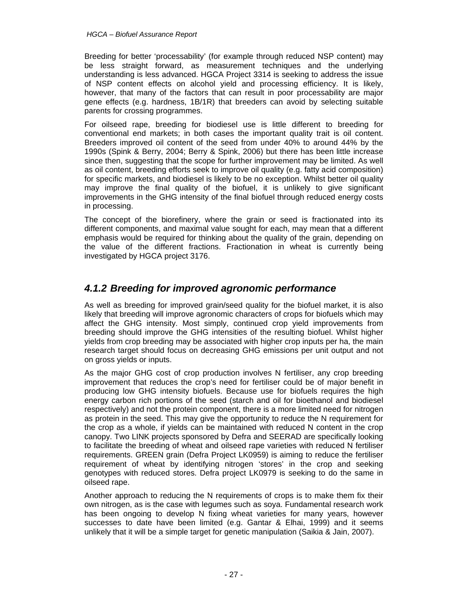#### *HGCA – Biofuel Assurance Report*

Breeding for better 'processability' (for example through reduced NSP content) may be less straight forward, as measurement techniques and the underlying understanding is less advanced. HGCA Project 3314 is seeking to address the issue of NSP content effects on alcohol yield and processing efficiency. It is likely, however, that many of the factors that can result in poor processability are major gene effects (e.g. hardness, 1B/1R) that breeders can avoid by selecting suitable parents for crossing programmes.

For oilseed rape, breeding for biodiesel use is little different to breeding for conventional end markets; in both cases the important quality trait is oil content. Breeders improved oil content of the seed from under 40% to around 44% by the 1990s (Spink & Berry, 2004; Berry & Spink, 2006) but there has been little increase since then, suggesting that the scope for further improvement may be limited. As well as oil content, breeding efforts seek to improve oil quality (e.g. fatty acid composition) for specific markets, and biodiesel is likely to be no exception. Whilst better oil quality may improve the final quality of the biofuel, it is unlikely to give significant improvements in the GHG intensity of the final biofuel through reduced energy costs in processing.

The concept of the biorefinery, where the grain or seed is fractionated into its different components, and maximal value sought for each, may mean that a different emphasis would be required for thinking about the quality of the grain, depending on the value of the different fractions. Fractionation in wheat is currently being investigated by HGCA project 3176.

### *4.1.2 Breeding for improved agronomic performance*

As well as breeding for improved grain/seed quality for the biofuel market, it is also likely that breeding will improve agronomic characters of crops for biofuels which may affect the GHG intensity. Most simply, continued crop yield improvements from breeding should improve the GHG intensities of the resulting biofuel. Whilst higher yields from crop breeding may be associated with higher crop inputs per ha, the main research target should focus on decreasing GHG emissions per unit output and not on gross yields or inputs.

As the major GHG cost of crop production involves N fertiliser, any crop breeding improvement that reduces the crop's need for fertiliser could be of major benefit in producing low GHG intensity biofuels. Because use for biofuels requires the high energy carbon rich portions of the seed (starch and oil for bioethanol and biodiesel respectively) and not the protein component, there is a more limited need for nitrogen as protein in the seed. This may give the opportunity to reduce the N requirement for the crop as a whole, if yields can be maintained with reduced N content in the crop canopy. Two LINK projects sponsored by Defra and SEERAD are specifically looking to facilitate the breeding of wheat and oilseed rape varieties with reduced N fertiliser requirements. GREEN grain (Defra Project LK0959) is aiming to reduce the fertiliser requirement of wheat by identifying nitrogen 'stores' in the crop and seeking genotypes with reduced stores. Defra project LK0979 is seeking to do the same in oilseed rape.

Another approach to reducing the N requirements of crops is to make them fix their own nitrogen, as is the case with legumes such as soya. Fundamental research work has been ongoing to develop N fixing wheat varieties for many years, however successes to date have been limited (e.g. Gantar & Elhai, 1999) and it seems unlikely that it will be a simple target for genetic manipulation (Saikia & Jain, 2007).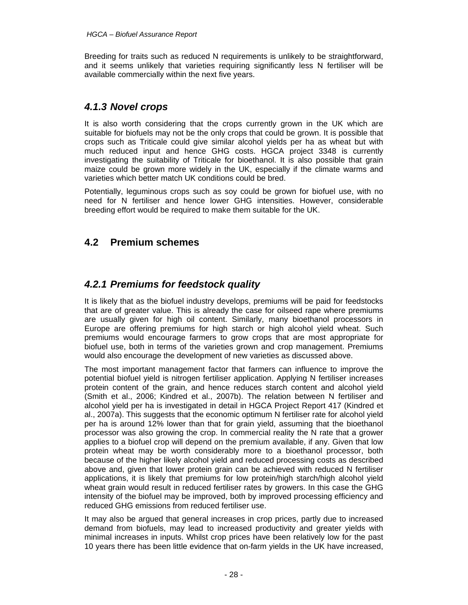Breeding for traits such as reduced N requirements is unlikely to be straightforward, and it seems unlikely that varieties requiring significantly less N fertiliser will be available commercially within the next five years.

### *4.1.3 Novel crops*

It is also worth considering that the crops currently grown in the UK which are suitable for biofuels may not be the only crops that could be grown. It is possible that crops such as Triticale could give similar alcohol yields per ha as wheat but with much reduced input and hence GHG costs. HGCA project 3348 is currently investigating the suitability of Triticale for bioethanol. It is also possible that grain maize could be grown more widely in the UK, especially if the climate warms and varieties which better match UK conditions could be bred.

Potentially, leguminous crops such as soy could be grown for biofuel use, with no need for N fertiliser and hence lower GHG intensities. However, considerable breeding effort would be required to make them suitable for the UK.

### **4.2 Premium schemes**

### *4.2.1 Premiums for feedstock quality*

It is likely that as the biofuel industry develops, premiums will be paid for feedstocks that are of greater value. This is already the case for oilseed rape where premiums are usually given for high oil content. Similarly, many bioethanol processors in Europe are offering premiums for high starch or high alcohol yield wheat. Such premiums would encourage farmers to grow crops that are most appropriate for biofuel use, both in terms of the varieties grown and crop management. Premiums would also encourage the development of new varieties as discussed above.

The most important management factor that farmers can influence to improve the potential biofuel yield is nitrogen fertiliser application. Applying N fertiliser increases protein content of the grain, and hence reduces starch content and alcohol yield (Smith et al., 2006; Kindred et al., 2007b). The relation between N fertiliser and alcohol yield per ha is investigated in detail in HGCA Project Report 417 (Kindred et al., 2007a). This suggests that the economic optimum N fertiliser rate for alcohol yield per ha is around 12% lower than that for grain yield, assuming that the bioethanol processor was also growing the crop. In commercial reality the N rate that a grower applies to a biofuel crop will depend on the premium available, if any. Given that low protein wheat may be worth considerably more to a bioethanol processor, both because of the higher likely alcohol yield and reduced processing costs as described above and, given that lower protein grain can be achieved with reduced N fertiliser applications, it is likely that premiums for low protein/high starch/high alcohol yield wheat grain would result in reduced fertiliser rates by growers. In this case the GHG intensity of the biofuel may be improved, both by improved processing efficiency and reduced GHG emissions from reduced fertiliser use.

It may also be argued that general increases in crop prices, partly due to increased demand from biofuels, may lead to increased productivity and greater yields with minimal increases in inputs. Whilst crop prices have been relatively low for the past 10 years there has been little evidence that on-farm yields in the UK have increased,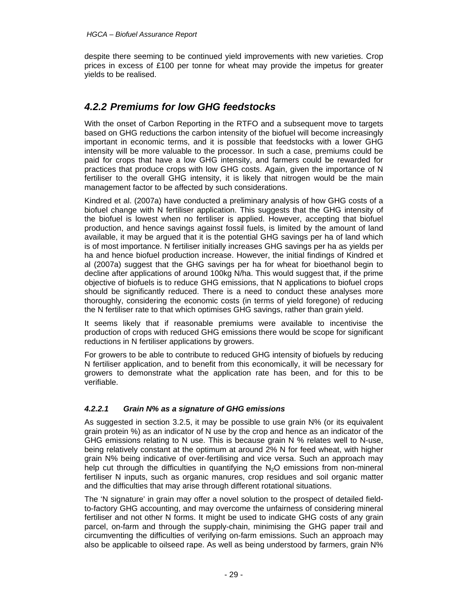despite there seeming to be continued yield improvements with new varieties. Crop prices in excess of £100 per tonne for wheat may provide the impetus for greater yields to be realised.

### *4.2.2 Premiums for low GHG feedstocks*

With the onset of Carbon Reporting in the RTFO and a subsequent move to targets based on GHG reductions the carbon intensity of the biofuel will become increasingly important in economic terms, and it is possible that feedstocks with a lower GHG intensity will be more valuable to the processor. In such a case, premiums could be paid for crops that have a low GHG intensity, and farmers could be rewarded for practices that produce crops with low GHG costs. Again, given the importance of N fertiliser to the overall GHG intensity, it is likely that nitrogen would be the main management factor to be affected by such considerations.

Kindred et al. (2007a) have conducted a preliminary analysis of how GHG costs of a biofuel change with N fertiliser application. This suggests that the GHG intensity of the biofuel is lowest when no fertiliser is applied. However, accepting that biofuel production, and hence savings against fossil fuels, is limited by the amount of land available, it may be argued that it is the potential GHG savings per ha of land which is of most importance. N fertiliser initially increases GHG savings per ha as yields per ha and hence biofuel production increase. However, the initial findings of Kindred et al (2007a) suggest that the GHG savings per ha for wheat for bioethanol begin to decline after applications of around 100kg N/ha. This would suggest that, if the prime objective of biofuels is to reduce GHG emissions, that N applications to biofuel crops should be significantly reduced. There is a need to conduct these analyses more thoroughly, considering the economic costs (in terms of yield foregone) of reducing the N fertiliser rate to that which optimises GHG savings, rather than grain yield.

It seems likely that if reasonable premiums were available to incentivise the production of crops with reduced GHG emissions there would be scope for significant reductions in N fertiliser applications by growers.

For growers to be able to contribute to reduced GHG intensity of biofuels by reducing N fertiliser application, and to benefit from this economically, it will be necessary for growers to demonstrate what the application rate has been, and for this to be verifiable.

#### *4.2.2.1 Grain N% as a signature of GHG emissions*

As suggested in section 3.2.5, it may be possible to use grain N% (or its equivalent grain protein %) as an indicator of N use by the crop and hence as an indicator of the GHG emissions relating to N use. This is because grain N % relates well to N-use, being relatively constant at the optimum at around 2% N for feed wheat, with higher grain N% being indicative of over-fertilising and vice versa. Such an approach may help cut through the difficulties in quantifying the  $N<sub>2</sub>O$  emissions from non-mineral fertiliser N inputs, such as organic manures, crop residues and soil organic matter and the difficulties that may arise through different rotational situations.

The 'N signature' in grain may offer a novel solution to the prospect of detailed fieldto-factory GHG accounting, and may overcome the unfairness of considering mineral fertiliser and not other N forms. It might be used to indicate GHG costs of any grain parcel, on-farm and through the supply-chain, minimising the GHG paper trail and circumventing the difficulties of verifying on-farm emissions. Such an approach may also be applicable to oilseed rape. As well as being understood by farmers, grain N%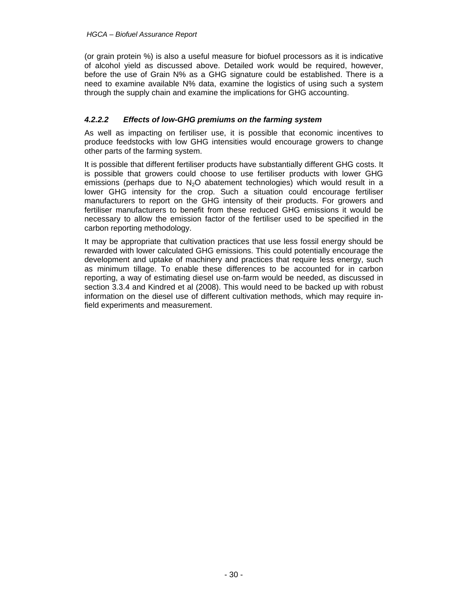(or grain protein %) is also a useful measure for biofuel processors as it is indicative of alcohol yield as discussed above. Detailed work would be required, however, before the use of Grain N% as a GHG signature could be established. There is a need to examine available N% data, examine the logistics of using such a system through the supply chain and examine the implications for GHG accounting.

#### *4.2.2.2 Effects of low-GHG premiums on the farming system*

As well as impacting on fertiliser use, it is possible that economic incentives to produce feedstocks with low GHG intensities would encourage growers to change other parts of the farming system.

It is possible that different fertiliser products have substantially different GHG costs. It is possible that growers could choose to use fertiliser products with lower GHG emissions (perhaps due to  $N_2O$  abatement technologies) which would result in a lower GHG intensity for the crop. Such a situation could encourage fertiliser manufacturers to report on the GHG intensity of their products. For growers and fertiliser manufacturers to benefit from these reduced GHG emissions it would be necessary to allow the emission factor of the fertiliser used to be specified in the carbon reporting methodology.

It may be appropriate that cultivation practices that use less fossil energy should be rewarded with lower calculated GHG emissions. This could potentially encourage the development and uptake of machinery and practices that require less energy, such as minimum tillage. To enable these differences to be accounted for in carbon reporting, a way of estimating diesel use on-farm would be needed, as discussed in section 3.3.4 and Kindred et al (2008). This would need to be backed up with robust information on the diesel use of different cultivation methods, which may require infield experiments and measurement.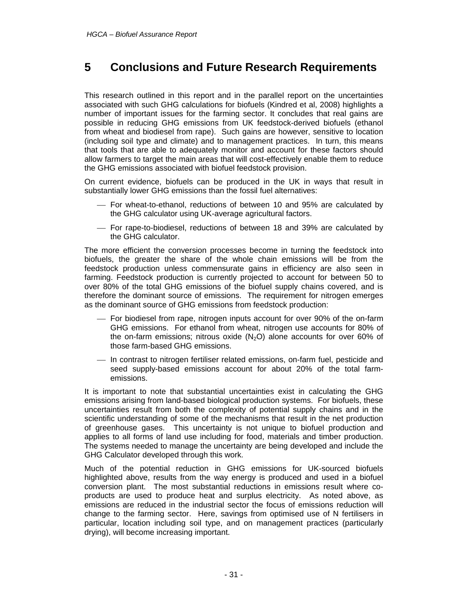# **5 Conclusions and Future Research Requirements**

This research outlined in this report and in the parallel report on the uncertainties associated with such GHG calculations for biofuels (Kindred et al, 2008) highlights a number of important issues for the farming sector. It concludes that real gains are possible in reducing GHG emissions from UK feedstock-derived biofuels (ethanol from wheat and biodiesel from rape). Such gains are however, sensitive to location (including soil type and climate) and to management practices. In turn, this means that tools that are able to adequately monitor and account for these factors should allow farmers to target the main areas that will cost-effectively enable them to reduce the GHG emissions associated with biofuel feedstock provision.

On current evidence, biofuels can be produced in the UK in ways that result in substantially lower GHG emissions than the fossil fuel alternatives:

- ⎯ For wheat-to-ethanol, reductions of between 10 and 95% are calculated by the GHG calculator using UK-average agricultural factors.
- ⎯ For rape-to-biodiesel, reductions of between 18 and 39% are calculated by the GHG calculator.

The more efficient the conversion processes become in turning the feedstock into biofuels, the greater the share of the whole chain emissions will be from the feedstock production unless commensurate gains in efficiency are also seen in farming. Feedstock production is currently projected to account for between 50 to over 80% of the total GHG emissions of the biofuel supply chains covered, and is therefore the dominant source of emissions. The requirement for nitrogen emerges as the dominant source of GHG emissions from feedstock production:

- ⎯ For biodiesel from rape, nitrogen inputs account for over 90% of the on-farm GHG emissions. For ethanol from wheat, nitrogen use accounts for 80% of the on-farm emissions; nitrous oxide  $(N_2O)$  alone accounts for over 60% of those farm-based GHG emissions.
- ⎯ In contrast to nitrogen fertiliser related emissions, on-farm fuel, pesticide and seed supply-based emissions account for about 20% of the total farmemissions.

It is important to note that substantial uncertainties exist in calculating the GHG emissions arising from land-based biological production systems. For biofuels, these uncertainties result from both the complexity of potential supply chains and in the scientific understanding of some of the mechanisms that result in the net production of greenhouse gases. This uncertainty is not unique to biofuel production and applies to all forms of land use including for food, materials and timber production. The systems needed to manage the uncertainty are being developed and include the GHG Calculator developed through this work.

Much of the potential reduction in GHG emissions for UK-sourced biofuels highlighted above, results from the way energy is produced and used in a biofuel conversion plant. The most substantial reductions in emissions result where coproducts are used to produce heat and surplus electricity. As noted above, as emissions are reduced in the industrial sector the focus of emissions reduction will change to the farming sector. Here, savings from optimised use of N fertilisers in particular, location including soil type, and on management practices (particularly drying), will become increasing important.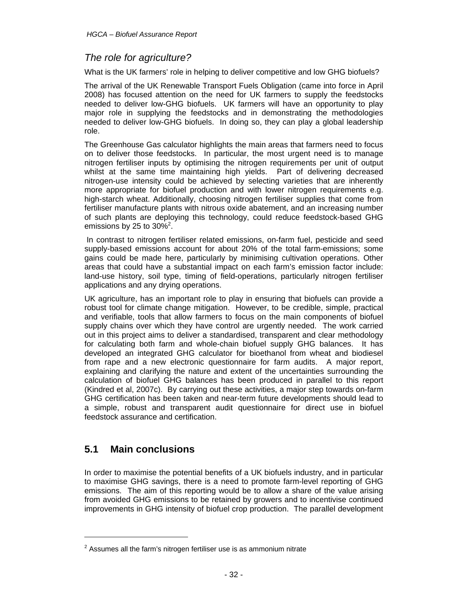### *The role for agriculture?*

What is the UK farmers' role in helping to deliver competitive and low GHG biofuels?

The arrival of the UK Renewable Transport Fuels Obligation (came into force in April 2008) has focused attention on the need for UK farmers to supply the feedstocks needed to deliver low-GHG biofuels. UK farmers will have an opportunity to play major role in supplying the feedstocks and in demonstrating the methodologies needed to deliver low-GHG biofuels. In doing so, they can play a global leadership role.

The Greenhouse Gas calculator highlights the main areas that farmers need to focus on to deliver those feedstocks. In particular, the most urgent need is to manage nitrogen fertiliser inputs by optimising the nitrogen requirements per unit of output whilst at the same time maintaining high yields. Part of delivering decreased nitrogen-use intensity could be achieved by selecting varieties that are inherently more appropriate for biofuel production and with lower nitrogen requirements e.g. high-starch wheat. Additionally, choosing nitrogen fertiliser supplies that come from fertiliser manufacture plants with nitrous oxide abatement, and an increasing number of such plants are deploying this technology, could reduce feedstock-based GHG emissions by 25 to  $30\%^2$ .

 In contrast to nitrogen fertiliser related emissions, on-farm fuel, pesticide and seed supply-based emissions account for about 20% of the total farm-emissions; some gains could be made here, particularly by minimising cultivation operations. Other areas that could have a substantial impact on each farm's emission factor include: land-use history, soil type, timing of field-operations, particularly nitrogen fertiliser applications and any drying operations.

UK agriculture, has an important role to play in ensuring that biofuels can provide a robust tool for climate change mitigation. However, to be credible, simple, practical and verifiable, tools that allow farmers to focus on the main components of biofuel supply chains over which they have control are urgently needed. The work carried out in this project aims to deliver a standardised, transparent and clear methodology for calculating both farm and whole-chain biofuel supply GHG balances. It has developed an integrated GHG calculator for bioethanol from wheat and biodiesel from rape and a new electronic questionnaire for farm audits. A major report, explaining and clarifying the nature and extent of the uncertainties surrounding the calculation of biofuel GHG balances has been produced in parallel to this report (Kindred et al, 2007c). By carrying out these activities, a major step towards on-farm GHG certification has been taken and near-term future developments should lead to a simple, robust and transparent audit questionnaire for direct use in biofuel feedstock assurance and certification.

### **5.1 Main conclusions**

l

In order to maximise the potential benefits of a UK biofuels industry, and in particular to maximise GHG savings, there is a need to promote farm-level reporting of GHG emissions. The aim of this reporting would be to allow a share of the value arising from avoided GHG emissions to be retained by growers and to incentivise continued improvements in GHG intensity of biofuel crop production. The parallel development

 $2$  Assumes all the farm's nitrogen fertiliser use is as ammonium nitrate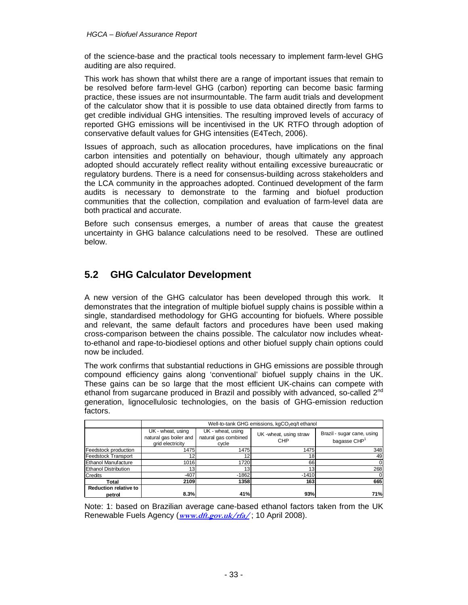#### *HGCA – Biofuel Assurance Report*

of the science-base and the practical tools necessary to implement farm-level GHG auditing are also required.

This work has shown that whilst there are a range of important issues that remain to be resolved before farm-level GHG (carbon) reporting can become basic farming practice, these issues are not insurmountable. The farm audit trials and development of the calculator show that it is possible to use data obtained directly from farms to get credible individual GHG intensities. The resulting improved levels of accuracy of reported GHG emissions will be incentivised in the UK RTFO through adoption of conservative default values for GHG intensities (E4Tech, 2006).

Issues of approach, such as allocation procedures, have implications on the final carbon intensities and potentially on behaviour, though ultimately any approach adopted should accurately reflect reality without entailing excessive bureaucratic or regulatory burdens. There is a need for consensus-building across stakeholders and the LCA community in the approaches adopted. Continued development of the farm audits is necessary to demonstrate to the farming and biofuel production communities that the collection, compilation and evaluation of farm-level data are both practical and accurate.

Before such consensus emerges, a number of areas that cause the greatest uncertainty in GHG balance calculations need to be resolved. These are outlined below.

### **5.2 GHG Calculator Development**

A new version of the GHG calculator has been developed through this work. It demonstrates that the integration of multiple biofuel supply chains is possible within a single, standardised methodology for GHG accounting for biofuels. Where possible and relevant, the same default factors and procedures have been used making cross-comparison between the chains possible. The calculator now includes wheatto-ethanol and rape-to-biodiesel options and other biofuel supply chain options could now be included.

The work confirms that substantial reductions in GHG emissions are possible through compound efficiency gains along 'conventional' biofuel supply chains in the UK. These gains can be so large that the most efficient UK-chains can compete with ethanol from sugarcane produced in Brazil and possibly with advanced, so-called 2<sup>nd</sup> generation, lignocellulosic technologies, on the basis of GHG-emission reduction factors.

|                                        | Well-to-tank GHG emissions, kgCO <sub>2</sub> eg/t ethanol      |                                                    |                                       |                                                        |  |  |  |  |  |  |  |  |  |
|----------------------------------------|-----------------------------------------------------------------|----------------------------------------------------|---------------------------------------|--------------------------------------------------------|--|--|--|--|--|--|--|--|--|
|                                        | UK - wheat, using<br>natural gas boiler and<br>grid electricity | UK - wheat, using<br>natural gas combined<br>cycle | UK - wheat, using straw<br><b>CHP</b> | Brazil - sugar cane, using<br>bagasse CHP <sup>1</sup> |  |  |  |  |  |  |  |  |  |
| Feedstock production                   | 1475                                                            | 1475                                               | 1475                                  | 348                                                    |  |  |  |  |  |  |  |  |  |
| <b>Feedstock Transport</b>             |                                                                 | 10                                                 | 18                                    | 49                                                     |  |  |  |  |  |  |  |  |  |
| <b>Ethanol Manufacture</b>             | 1016                                                            | 1720                                               | 66                                    | 0                                                      |  |  |  |  |  |  |  |  |  |
| <b>Ethanol Distribution</b>            | 13 <sub>1</sub>                                                 | 13.                                                | 13                                    | 268                                                    |  |  |  |  |  |  |  |  |  |
| <b>Credits</b>                         | $-407$                                                          | $-1862$                                            | $-1410$                               |                                                        |  |  |  |  |  |  |  |  |  |
| Total                                  | 2109                                                            | 1358                                               | 163                                   | 665                                                    |  |  |  |  |  |  |  |  |  |
| <b>Reduction relative to</b><br>petrol | 8.3%                                                            | 41%                                                | 93%                                   | 71%                                                    |  |  |  |  |  |  |  |  |  |

Note: 1: based on Brazilian average cane-based ethanol factors taken from the UK Renewable Fuels Agency (**www.dft.gov.uk/rfa/** ; 10 April 2008).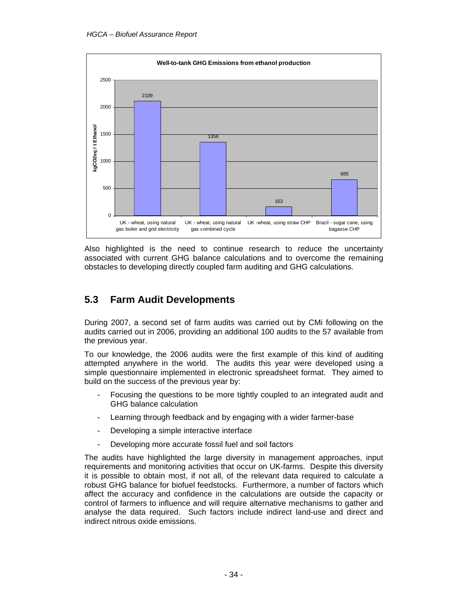

Also highlighted is the need to continue research to reduce the uncertainty associated with current GHG balance calculations and to overcome the remaining obstacles to developing directly coupled farm auditing and GHG calculations.

### **5.3 Farm Audit Developments**

During 2007, a second set of farm audits was carried out by CMi following on the audits carried out in 2006, providing an additional 100 audits to the 57 available from the previous year.

To our knowledge, the 2006 audits were the first example of this kind of auditing attempted anywhere in the world. The audits this year were developed using a simple questionnaire implemented in electronic spreadsheet format. They aimed to build on the success of the previous year by:

- Focusing the questions to be more tightly coupled to an integrated audit and GHG balance calculation
- Learning through feedback and by engaging with a wider farmer-base
- Developing a simple interactive interface
- Developing more accurate fossil fuel and soil factors

The audits have highlighted the large diversity in management approaches, input requirements and monitoring activities that occur on UK-farms. Despite this diversity it is possible to obtain most, if not all, of the relevant data required to calculate a robust GHG balance for biofuel feedstocks. Furthermore, a number of factors which affect the accuracy and confidence in the calculations are outside the capacity or control of farmers to influence and will require alternative mechanisms to gather and analyse the data required. Such factors include indirect land-use and direct and indirect nitrous oxide emissions.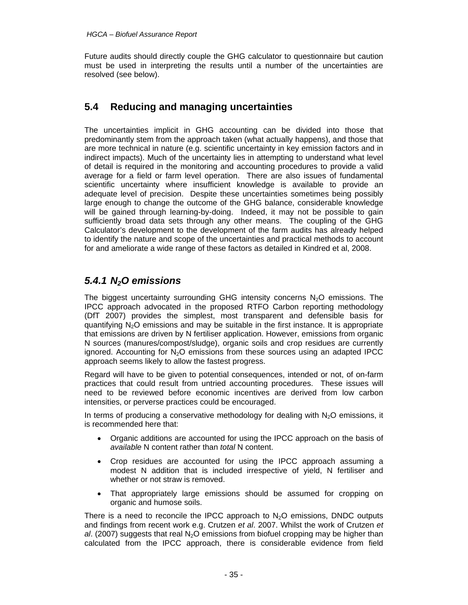Future audits should directly couple the GHG calculator to questionnaire but caution must be used in interpreting the results until a number of the uncertainties are resolved (see below).

### **5.4 Reducing and managing uncertainties**

The uncertainties implicit in GHG accounting can be divided into those that predominantly stem from the approach taken (what actually happens), and those that are more technical in nature (e.g. scientific uncertainty in key emission factors and in indirect impacts). Much of the uncertainty lies in attempting to understand what level of detail is required in the monitoring and accounting procedures to provide a valid average for a field or farm level operation. There are also issues of fundamental scientific uncertainty where insufficient knowledge is available to provide an adequate level of precision. Despite these uncertainties sometimes being possibly large enough to change the outcome of the GHG balance, considerable knowledge will be gained through learning-by-doing. Indeed, it may not be possible to gain sufficiently broad data sets through any other means. The coupling of the GHG Calculator's development to the development of the farm audits has already helped to identify the nature and scope of the uncertainties and practical methods to account for and ameliorate a wide range of these factors as detailed in Kindred et al, 2008.

### *5.4.1 N2O emissions*

The biggest uncertainty surrounding GHG intensity concerns  $N_2O$  emissions. The IPCC approach advocated in the proposed RTFO Carbon reporting methodology (DfT 2007) provides the simplest, most transparent and defensible basis for quantifying  $N<sub>2</sub>O$  emissions and may be suitable in the first instance. It is appropriate that emissions are driven by N fertiliser application. However, emissions from organic N sources (manures/compost/sludge), organic soils and crop residues are currently ignored. Accounting for  $N_2O$  emissions from these sources using an adapted IPCC approach seems likely to allow the fastest progress.

Regard will have to be given to potential consequences, intended or not, of on-farm practices that could result from untried accounting procedures. These issues will need to be reviewed before economic incentives are derived from low carbon intensities, or perverse practices could be encouraged.

In terms of producing a conservative methodology for dealing with  $N_2O$  emissions, it is recommended here that:

- Organic additions are accounted for using the IPCC approach on the basis of *available* N content rather than *total* N content.
- Crop residues are accounted for using the IPCC approach assuming a modest N addition that is included irrespective of yield, N fertiliser and whether or not straw is removed.
- That appropriately large emissions should be assumed for cropping on organic and humose soils.

There is a need to reconcile the IPCC approach to  $N_2O$  emissions, DNDC outputs and findings from recent work e.g. Crutzen *et al*. 2007. Whilst the work of Crutzen *et al.* (2007) suggests that real  $N<sub>2</sub>O$  emissions from biofuel cropping may be higher than calculated from the IPCC approach, there is considerable evidence from field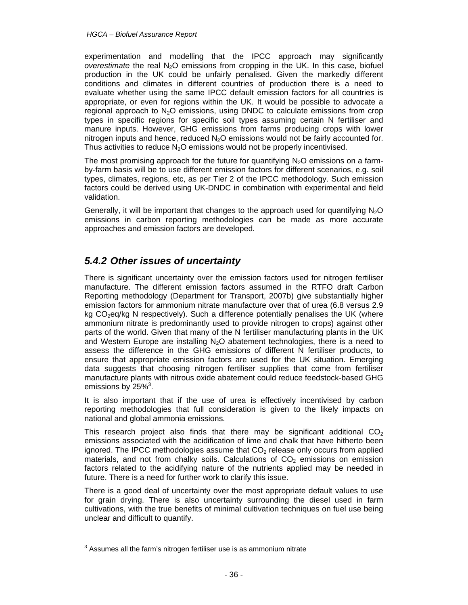experimentation and modelling that the IPCC approach may significantly *overestimate* the real N<sub>2</sub>O emissions from cropping in the UK. In this case, biofuel production in the UK could be unfairly penalised. Given the markedly different conditions and climates in different countries of production there is a need to evaluate whether using the same IPCC default emission factors for all countries is appropriate, or even for regions within the UK. It would be possible to advocate a regional approach to  $N<sub>2</sub>O$  emissions, using DNDC to calculate emissions from crop types in specific regions for specific soil types assuming certain N fertiliser and manure inputs. However, GHG emissions from farms producing crops with lower nitrogen inputs and hence, reduced  $N_2O$  emissions would not be fairly accounted for. Thus activities to reduce  $N<sub>2</sub>O$  emissions would not be properly incentivised.

The most promising approach for the future for quantifying  $N<sub>2</sub>O$  emissions on a farmby-farm basis will be to use different emission factors for different scenarios, e.g. soil types, climates, regions, etc, as per Tier 2 of the IPCC methodology. Such emission factors could be derived using UK-DNDC in combination with experimental and field validation.

Generally, it will be important that changes to the approach used for quantifying  $N_2O$ emissions in carbon reporting methodologies can be made as more accurate approaches and emission factors are developed.

# *5.4.2 Other issues of uncertainty*

There is significant uncertainty over the emission factors used for nitrogen fertiliser manufacture. The different emission factors assumed in the RTFO draft Carbon Reporting methodology (Department for Transport, 2007b) give substantially higher emission factors for ammonium nitrate manufacture over that of urea (6.8 versus 2.9 kg  $CO<sub>2</sub>$ eg/kg N respectively). Such a difference potentially penalises the UK (where ammonium nitrate is predominantly used to provide nitrogen to crops) against other parts of the world. Given that many of the N fertiliser manufacturing plants in the UK and Western Europe are installing  $N_2O$  abatement technologies, there is a need to assess the difference in the GHG emissions of different N fertiliser products, to ensure that appropriate emission factors are used for the UK situation. Emerging data suggests that choosing nitrogen fertiliser supplies that come from fertiliser manufacture plants with nitrous oxide abatement could reduce feedstock-based GHG emissions by  $25\%$ <sup>3</sup>.

It is also important that if the use of urea is effectively incentivised by carbon reporting methodologies that full consideration is given to the likely impacts on national and global ammonia emissions.

This research project also finds that there may be significant additional  $CO<sub>2</sub>$ emissions associated with the acidification of lime and chalk that have hitherto been ignored. The IPCC methodologies assume that  $CO<sub>2</sub>$  release only occurs from applied materials, and not from chalky soils. Calculations of  $CO<sub>2</sub>$  emissions on emission factors related to the acidifying nature of the nutrients applied may be needed in future. There is a need for further work to clarify this issue.

There is a good deal of uncertainty over the most appropriate default values to use for grain drying. There is also uncertainty surrounding the diesel used in farm cultivations, with the true benefits of minimal cultivation techniques on fuel use being unclear and difficult to quantify.

l

 $3$  Assumes all the farm's nitrogen fertiliser use is as ammonium nitrate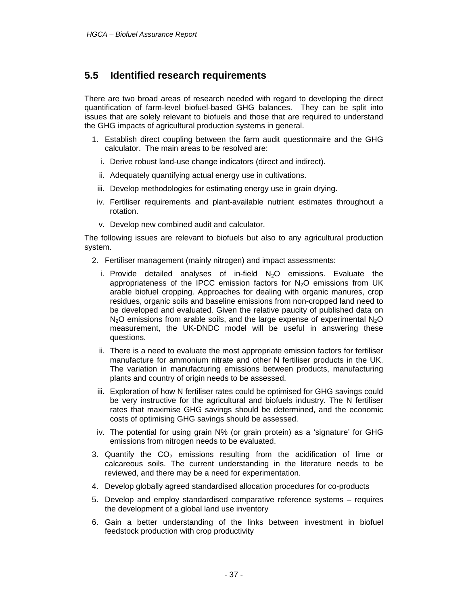### **5.5 Identified research requirements**

There are two broad areas of research needed with regard to developing the direct quantification of farm-level biofuel-based GHG balances. They can be split into issues that are solely relevant to biofuels and those that are required to understand the GHG impacts of agricultural production systems in general.

- 1. Establish direct coupling between the farm audit questionnaire and the GHG calculator. The main areas to be resolved are:
	- i. Derive robust land-use change indicators (direct and indirect).
	- ii. Adequately quantifying actual energy use in cultivations.
	- iii. Develop methodologies for estimating energy use in grain drying.
	- iv. Fertiliser requirements and plant-available nutrient estimates throughout a rotation.
	- v. Develop new combined audit and calculator.

The following issues are relevant to biofuels but also to any agricultural production system.

- 2. Fertiliser management (mainly nitrogen) and impact assessments:
	- i. Provide detailed analyses of in-field  $N_2O$  emissions. Evaluate the appropriateness of the IPCC emission factors for  $N<sub>2</sub>O$  emissions from UK arable biofuel cropping. Approaches for dealing with organic manures, crop residues, organic soils and baseline emissions from non-cropped land need to be developed and evaluated. Given the relative paucity of published data on  $N<sub>2</sub>O$  emissions from arable soils, and the large expense of experimental  $N<sub>2</sub>O$ measurement, the UK-DNDC model will be useful in answering these questions.
	- ii. There is a need to evaluate the most appropriate emission factors for fertiliser manufacture for ammonium nitrate and other N fertiliser products in the UK. The variation in manufacturing emissions between products, manufacturing plants and country of origin needs to be assessed.
	- iii. Exploration of how N fertiliser rates could be optimised for GHG savings could be very instructive for the agricultural and biofuels industry. The N fertiliser rates that maximise GHG savings should be determined, and the economic costs of optimising GHG savings should be assessed.
	- iv. The potential for using grain N% (or grain protein) as a 'signature' for GHG emissions from nitrogen needs to be evaluated.
- 3. Quantify the  $CO<sub>2</sub>$  emissions resulting from the acidification of lime or calcareous soils. The current understanding in the literature needs to be reviewed, and there may be a need for experimentation.
- 4. Develop globally agreed standardised allocation procedures for co-products
- 5. Develop and employ standardised comparative reference systems requires the development of a global land use inventory
- 6. Gain a better understanding of the links between investment in biofuel feedstock production with crop productivity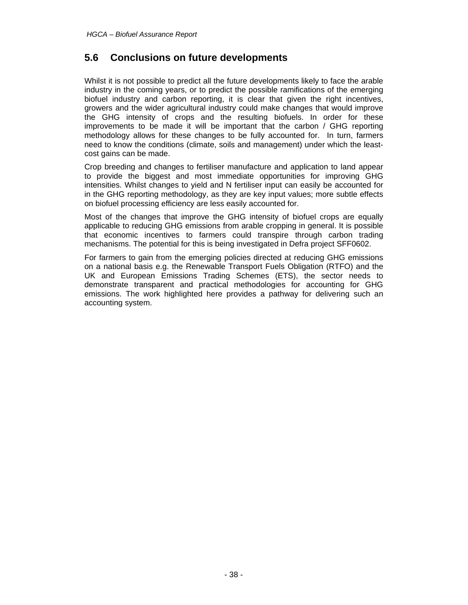### **5.6 Conclusions on future developments**

Whilst it is not possible to predict all the future developments likely to face the arable industry in the coming years, or to predict the possible ramifications of the emerging biofuel industry and carbon reporting, it is clear that given the right incentives, growers and the wider agricultural industry could make changes that would improve the GHG intensity of crops and the resulting biofuels. In order for these improvements to be made it will be important that the carbon / GHG reporting methodology allows for these changes to be fully accounted for. In turn, farmers need to know the conditions (climate, soils and management) under which the leastcost gains can be made.

Crop breeding and changes to fertiliser manufacture and application to land appear to provide the biggest and most immediate opportunities for improving GHG intensities. Whilst changes to yield and N fertiliser input can easily be accounted for in the GHG reporting methodology, as they are key input values; more subtle effects on biofuel processing efficiency are less easily accounted for.

Most of the changes that improve the GHG intensity of biofuel crops are equally applicable to reducing GHG emissions from arable cropping in general. It is possible that economic incentives to farmers could transpire through carbon trading mechanisms. The potential for this is being investigated in Defra project SFF0602.

For farmers to gain from the emerging policies directed at reducing GHG emissions on a national basis e.g. the Renewable Transport Fuels Obligation (RTFO) and the UK and European Emissions Trading Schemes (ETS), the sector needs to demonstrate transparent and practical methodologies for accounting for GHG emissions. The work highlighted here provides a pathway for delivering such an accounting system.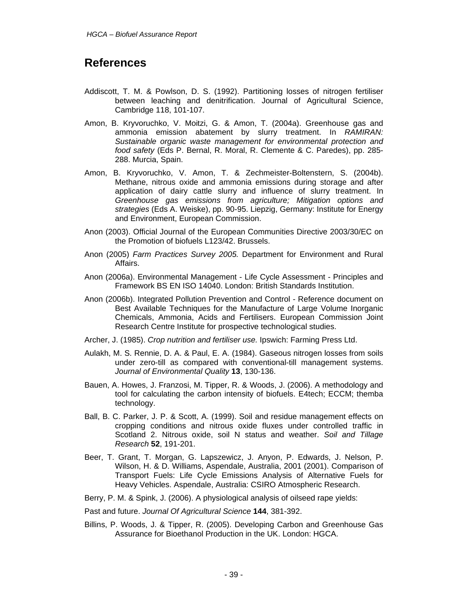# **References**

- Addiscott, T. M. & Powlson, D. S. (1992). Partitioning losses of nitrogen fertiliser between leaching and denitrification. Journal of Agricultural Science, Cambridge 118, 101-107.
- Amon, B. Kryvoruchko, V. Moitzi, G. & Amon, T. (2004a). Greenhouse gas and ammonia emission abatement by slurry treatment. In *RAMIRAN: Sustainable organic waste management for environmental protection and food safety* (Eds P. Bernal, R. Moral, R. Clemente & C. Paredes), pp. 285- 288. Murcia, Spain.
- Amon, B. Kryvoruchko, V. Amon, T. & Zechmeister-Boltenstern, S. (2004b). Methane, nitrous oxide and ammonia emissions during storage and after application of dairy cattle slurry and influence of slurry treatment. In *Greenhouse gas emissions from agriculture; Mitigation options and strategies* (Eds A. Weiske), pp. 90-95. Liepzig, Germany: Institute for Energy and Environment, European Commission.
- Anon (2003). Official Journal of the European Communities Directive 2003/30/EC on the Promotion of biofuels L123/42. Brussels.
- Anon (2005) *Farm Practices Survey 2005.* Department for Environment and Rural Affairs.
- Anon (2006a). Environmental Management Life Cycle Assessment Principles and Framework BS EN ISO 14040. London: British Standards Institution.
- Anon (2006b). Integrated Pollution Prevention and Control Reference document on Best Available Techniques for the Manufacture of Large Volume Inorganic Chemicals, Ammonia, Acids and Fertilisers. European Commission Joint Research Centre Institute for prospective technological studies.
- Archer, J. (1985). *Crop nutrition and fertiliser use.* Ipswich: Farming Press Ltd.
- Aulakh, M. S. Rennie, D. A. & Paul, E. A. (1984). Gaseous nitrogen losses from soils under zero-till as compared with conventional-till management systems. *Journal of Environmental Quality* **13**, 130-136.
- Bauen, A. Howes, J. Franzosi, M. Tipper, R. & Woods, J. (2006). A methodology and tool for calculating the carbon intensity of biofuels. E4tech; ECCM; themba technology.
- Ball, B. C. Parker, J. P. & Scott, A. (1999). Soil and residue management effects on cropping conditions and nitrous oxide fluxes under controlled traffic in Scotland 2. Nitrous oxide, soil N status and weather. *Soil and Tillage Research* **52**, 191-201.
- Beer, T. Grant, T. Morgan, G. Lapszewicz, J. Anyon, P. Edwards, J. Nelson, P. Wilson, H. & D. Williams, Aspendale, Australia, 2001 (2001). Comparison of Transport Fuels: Life Cycle Emissions Analysis of Alternative Fuels for Heavy Vehicles. Aspendale, Australia: CSIRO Atmospheric Research.
- Berry, P. M. & Spink, J. (2006). A physiological analysis of oilseed rape yields:
- Past and future. *Journal Of Agricultural Science* **144**, 381-392.
- Billins, P. Woods, J. & Tipper, R. (2005). Developing Carbon and Greenhouse Gas Assurance for Bioethanol Production in the UK. London: HGCA.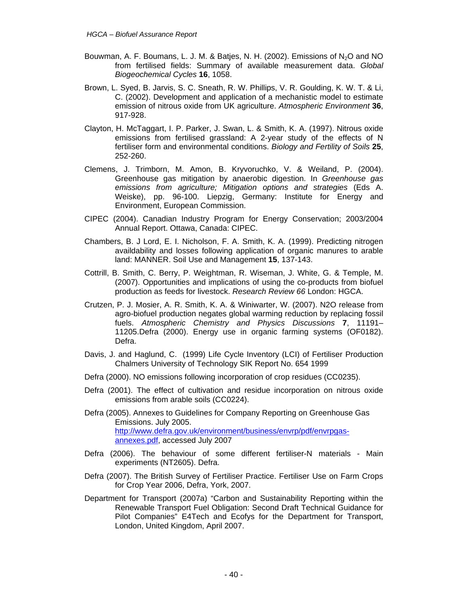- Bouwman, A. F. Boumans, L. J. M. & Batjes, N. H. (2002). Emissions of  $N_2O$  and NO from fertilised fields: Summary of available measurement data. *Global Biogeochemical Cycles* **16**, 1058.
- Brown, L. Syed, B. Jarvis, S. C. Sneath, R. W. Phillips, V. R. Goulding, K. W. T. & Li, C. (2002). Development and application of a mechanistic model to estimate emission of nitrous oxide from UK agriculture. *Atmospheric Environment* **36**, 917-928.
- Clayton, H. McTaggart, I. P. Parker, J. Swan, L. & Smith, K. A. (1997). Nitrous oxide emissions from fertilised grassland: A 2-year study of the effects of N fertiliser form and environmental conditions. *Biology and Fertility of Soils* **25**, 252-260.
- Clemens, J. Trimborn, M. Amon, B. Kryvoruchko, V. & Weiland, P. (2004). Greenhouse gas mitigation by anaerobic digestion. In *Greenhouse gas emissions from agriculture; Mitigation options and strategies* (Eds A. Weiske), pp. 96-100. Liepzig, Germany: Institute for Energy and Environment, European Commission.
- CIPEC (2004). Canadian Industry Program for Energy Conservation; 2003/2004 Annual Report. Ottawa, Canada: CIPEC.
- Chambers, B. J Lord, E. I. Nicholson, F. A. Smith, K. A. (1999). Predicting nitrogen availdability and losses following application of organic manures to arable land: MANNER. Soil Use and Management **15**, 137-143.
- Cottrill, B. Smith, C. Berry, P. Weightman, R. Wiseman, J. White, G. & Temple, M. (2007). Opportunities and implications of using the co-products from biofuel production as feeds for livestock. *Research Review 66* London: HGCA.
- Crutzen, P. J. Mosier, A. R. Smith, K. A. & Winiwarter, W. (2007). N2O release from agro-biofuel production negates global warming reduction by replacing fossil fuels. *Atmospheric Chemistry and Physics Discussions* **7**, 11191– 11205.Defra (2000). Energy use in organic farming systems (OF0182). Defra.
- Davis, J. and Haglund, C. (1999) Life Cycle Inventory (LCI) of Fertiliser Production Chalmers University of Technology SIK Report No. 654 1999
- Defra (2000). NO emissions following incorporation of crop residues (CC0235).
- Defra (2001). The effect of cultivation and residue incorporation on nitrous oxide emissions from arable soils (CC0224).
- Defra (2005). Annexes to Guidelines for Company Reporting on Greenhouse Gas Emissions. July 2005. http://www.defra.gov.uk/environment/business/envrp/pdf/envrpgasannexes.pdf, accessed July 2007
- Defra (2006). The behaviour of some different fertiliser-N materials Main experiments (NT2605). Defra.
- Defra (2007). The British Survey of Fertiliser Practice. Fertiliser Use on Farm Crops for Crop Year 2006, Defra, York, 2007.
- Department for Transport (2007a) "Carbon and Sustainability Reporting within the Renewable Transport Fuel Obligation: Second Draft Technical Guidance for Pilot Companies" E4Tech and Ecofys for the Department for Transport, London, United Kingdom, April 2007.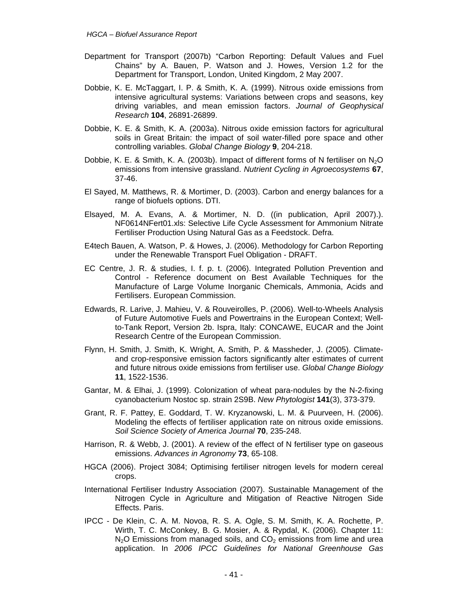- Department for Transport (2007b) "Carbon Reporting: Default Values and Fuel Chains" by A. Bauen, P. Watson and J. Howes, Version 1.2 for the Department for Transport, London, United Kingdom, 2 May 2007.
- Dobbie, K. E. McTaggart, I. P. & Smith, K. A. (1999). Nitrous oxide emissions from intensive agricultural systems: Variations between crops and seasons, key driving variables, and mean emission factors. *Journal of Geophysical Research* **104**, 26891-26899.
- Dobbie, K. E. & Smith, K. A. (2003a). Nitrous oxide emission factors for agricultural soils in Great Britain: the impact of soil water-filled pore space and other controlling variables. *Global Change Biology* **9**, 204-218.
- Dobbie, K. E. & Smith, K. A. (2003b). Impact of different forms of N fertiliser on  $N_2O$ emissions from intensive grassland. *Nutrient Cycling in Agroecosystems* **67**, 37-46.
- El Sayed, M. Matthews, R. & Mortimer, D. (2003). Carbon and energy balances for a range of biofuels options. DTI.
- Elsayed, M. A. Evans, A. & Mortimer, N. D. ((in publication, April 2007).). NF0614NFert01.xls: Selective Life Cycle Assessment for Ammonium Nitrate Fertiliser Production Using Natural Gas as a Feedstock. Defra.
- E4tech Bauen, A. Watson, P. & Howes, J. (2006). Methodology for Carbon Reporting under the Renewable Transport Fuel Obligation - DRAFT.
- EC Centre, J. R. & studies, I. f. p. t. (2006). Integrated Pollution Prevention and Control - Reference document on Best Available Techniques for the Manufacture of Large Volume Inorganic Chemicals, Ammonia, Acids and Fertilisers. European Commission.
- Edwards, R. Larive, J. Mahieu, V. & Rouveirolles, P. (2006). Well-to-Wheels Analysis of Future Automotive Fuels and Powertrains in the European Context; Wellto-Tank Report, Version 2b. Ispra, Italy: CONCAWE, EUCAR and the Joint Research Centre of the European Commission.
- Flynn, H. Smith, J. Smith, K. Wright, A. Smith, P. & Massheder, J. (2005). Climateand crop-responsive emission factors significantly alter estimates of current and future nitrous oxide emissions from fertiliser use. *Global Change Biology*  **11**, 1522-1536.
- Gantar, M. & Elhai, J. (1999). Colonization of wheat para-nodules by the N-2-fixing cyanobacterium Nostoc sp. strain 2S9B. *New Phytologist* **141**(3), 373-379.
- Grant, R. F. Pattey, E. Goddard, T. W. Kryzanowski, L. M. & Puurveen, H. (2006). Modeling the effects of fertiliser application rate on nitrous oxide emissions. *Soil Science Society of America Journal* **70**, 235-248.
- Harrison, R. & Webb, J. (2001). A review of the effect of N fertiliser type on gaseous emissions. *Advances in Agronomy* **73**, 65-108.
- HGCA (2006). Project 3084; Optimising fertiliser nitrogen levels for modern cereal crops.
- International Fertiliser Industry Association (2007). Sustainable Management of the Nitrogen Cycle in Agriculture and Mitigation of Reactive Nitrogen Side Effects. Paris.
- IPCC De Klein, C. A. M. Novoa, R. S. A. Ogle, S. M. Smith, K. A. Rochette, P. Wirth, T. C. McConkey, B. G. Mosier, A. & Rypdal, K. (2006). Chapter 11:  $N<sub>2</sub>O$  Emissions from managed soils, and  $CO<sub>2</sub>$  emissions from lime and urea application. In *2006 IPCC Guidelines for National Greenhouse Gas*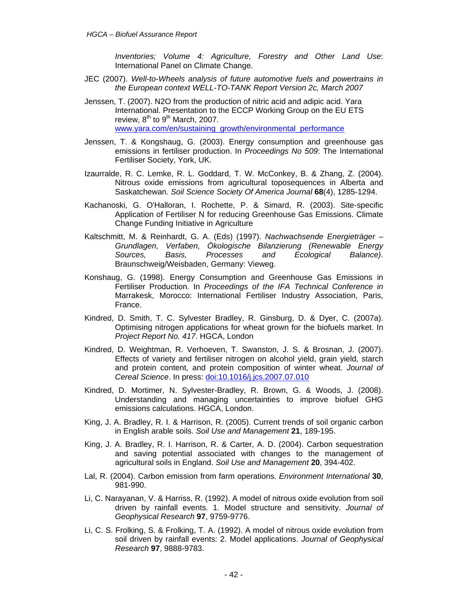*Inventories; Volume 4: Agriculture, Forestry and Other Land Use*: International Panel on Climate Change.

- JEC (2007). *Well-to-Wheels analysis of future automotive fuels and powertrains in the European context WELL-TO-TANK Report Version 2c, March 2007*
- Jenssen, T. (2007). N2O from the production of nitric acid and adipic acid. Yara International. Presentation to the ECCP Working Group on the EU ETS review,  $8<sup>th</sup>$  to  $9<sup>th</sup>$  March, 2007. www.yara.com/en/sustaining\_growth/environmental\_performance
- Jenssen, T. & Kongshaug, G. (2003). Energy consumption and greenhouse gas emissions in fertiliser production. In *Proceedings No 509*: The International Fertiliser Society, York, UK.
- Izaurralde, R. C. Lemke, R. L. Goddard, T. W. McConkey, B. & Zhang, Z. (2004). Nitrous oxide emissions from agricultural toposequences in Alberta and Saskatchewan. *Soil Science Society Of America Journal* **68**(4), 1285-1294.
- Kachanoski, G. O'Halloran, I. Rochette, P. & Simard, R. (2003). Site-specific Application of Fertiliser N for reducing Greenhouse Gas Emissions. Climate Change Funding Initiative in Agriculture
- Kaltschmitt, M. & Reinhardt, G. A. (Eds) (1997). *Nachwachsende Energieträger Grundlagen, Verfaben, Ökologische Bilanzierung (Renewable Energy Sources, Basis, Processes and Ecological Balance)*. Braunschweig/Weisbaden, Germany: Vieweg.
- Konshaug, G. (1998). Energy Consumption and Greenhouse Gas Emissions in Fertiliser Production. In *Proceedings of the IFA Technical Conference in*  Marrakesk, Morocco: International Fertiliser Industry Association, Paris, France.
- Kindred, D. Smith, T. C. Sylvester Bradley, R. Ginsburg, D. & Dyer, C. (2007a). Optimising nitrogen applications for wheat grown for the biofuels market. In *Project Report No. 417*. HGCA, London
- Kindred, D. Weightman, R. Verhoeven, T. Swanston, J. S. & Brosnan, J. (2007). Effects of variety and fertiliser nitrogen on alcohol yield, grain yield, starch and protein content, and protein composition of winter wheat. *Journal of Cereal Science*. In press: doi:10.1016/j.jcs.2007.07.010
- Kindred, D. Mortimer, N. Sylvester-Bradley, R. Brown, G. & Woods, J. (2008). Understanding and managing uncertainties to improve biofuel GHG emissions calculations. HGCA, London.
- King, J. A. Bradley, R. I. & Harrison, R. (2005). Current trends of soil organic carbon in English arable soils. *Soil Use and Management* **21**, 189-195.
- King, J. A. Bradley, R. I. Harrison, R. & Carter, A. D. (2004). Carbon sequestration and saving potential associated with changes to the management of agricultural soils in England. *Soil Use and Management* **20**, 394-402.
- Lal, R. (2004). Carbon emission from farm operations. *Environment International* **30**, 981-990.
- Li, C. Narayanan, V. & Harriss, R. (1992). A model of nitrous oxide evolution from soil driven by rainfall events. 1. Model structure and sensitivity. *Journal of Geophysical Research* **97**, 9759-9776.
- Li, C. S. Frolking, S. & Frolking, T. A. (1992). A model of nitrous oxide evolution from soil driven by rainfall events: 2. Model applications. *Journal of Geophysical Research* **97**, 9888-9783.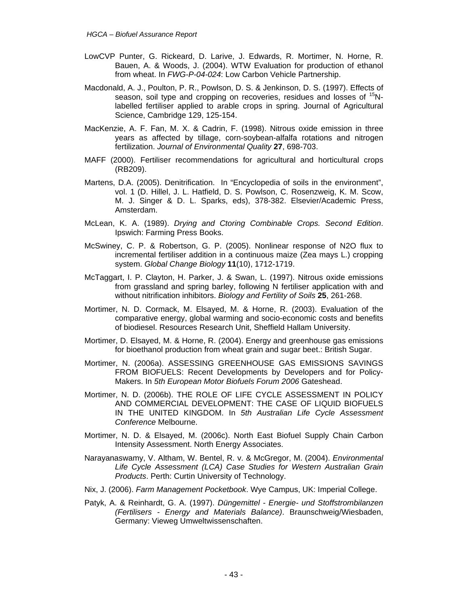- LowCVP Punter, G. Rickeard, D. Larive, J. Edwards, R. Mortimer, N. Horne, R. Bauen, A. & Woods, J. (2004). WTW Evaluation for production of ethanol from wheat. In *FWG-P-04-024*: Low Carbon Vehicle Partnership.
- Macdonald, A. J., Poulton, P. R., Powlson, D. S. & Jenkinson, D. S. (1997). Effects of season, soil type and cropping on recoveries, residues and losses of <sup>15</sup>Nlabelled fertiliser applied to arable crops in spring. Journal of Agricultural Science, Cambridge 129, 125-154.
- MacKenzie, A. F. Fan, M. X. & Cadrin, F. (1998). Nitrous oxide emission in three years as affected by tillage, corn-soybean-alfalfa rotations and nitrogen fertilization. *Journal of Environmental Quality* **27**, 698-703.
- MAFF (2000). Fertiliser recommendations for agricultural and horticultural crops (RB209).
- Martens, D.A. (2005). Denitrification. In "Encyclopedia of soils in the environment", vol. 1 (D. Hillel, J. L. Hatfield, D. S. Powlson, C. Rosenzweig, K. M. Scow, M. J. Singer & D. L. Sparks, eds), 378-382. Elsevier/Academic Press, Amsterdam.
- McLean, K. A. (1989). *Drying and Ctoring Combinable Crops. Second Edition*. Ipswich: Farming Press Books.
- McSwiney, C. P. & Robertson, G. P. (2005). Nonlinear response of N2O flux to incremental fertiliser addition in a continuous maize (Zea mays L.) cropping system. *Global Change Biology* **11**(10), 1712-1719.
- McTaggart, I. P. Clayton, H. Parker, J. & Swan, L. (1997). Nitrous oxide emissions from grassland and spring barley, following N fertiliser application with and without nitrification inhibitors. *Biology and Fertility of Soils* **25**, 261-268.
- Mortimer, N. D. Cormack, M. Elsayed, M. & Horne, R. (2003). Evaluation of the comparative energy, global warming and socio-economic costs and benefits of biodiesel. Resources Research Unit, Sheffield Hallam University.
- Mortimer, D. Elsayed, M. & Horne, R. (2004). Energy and greenhouse gas emissions for bioethanol production from wheat grain and sugar beet.: British Sugar.
- Mortimer, N. (2006a). ASSESSING GREENHOUSE GAS EMISSIONS SAVINGS FROM BIOFUELS: Recent Developments by Developers and for Policy-Makers. In *5th European Motor Biofuels Forum 2006* Gateshead.
- Mortimer, N. D. (2006b). THE ROLE OF LIFE CYCLE ASSESSMENT IN POLICY AND COMMERCIAL DEVELOPMENT: THE CASE OF LIQUID BIOFUELS IN THE UNITED KINGDOM. In *5th Australian Life Cycle Assessment Conference* Melbourne.
- Mortimer, N. D. & Elsayed, M. (2006c). North East Biofuel Supply Chain Carbon Intensity Assessment. North Energy Associates.
- Narayanaswamy, V. Altham, W. Bentel, R. v. & McGregor, M. (2004). *Environmental Life Cycle Assessment (LCA) Case Studies for Western Australian Grain Products*. Perth: Curtin University of Technology.
- Nix, J. (2006). *Farm Management Pocketbook*. Wye Campus, UK: Imperial College.
- Patyk, A. & Reinhardt, G. A. (1997). *Düngemittel Energie- und Stoffstrombilanzen (Fertilisers - Energy and Materials Balance)*. Braunschweig/Wiesbaden, Germany: Vieweg Umweltwissenschaften.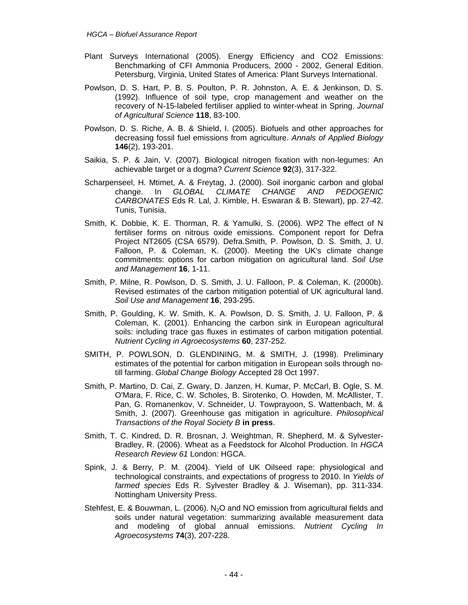- Plant Surveys International (2005). Energy Efficiency and CO2 Emissions: Benchmarking of CFI Ammonia Producers, 2000 - 2002, General Edition. Petersburg, Virginia, United States of America: Plant Surveys International.
- Powlson, D. S. Hart, P. B. S. Poulton, P. R. Johnston, A. E. & Jenkinson, D. S. (1992). Influence of soil type, crop management and weather on the recovery of N-15-labeled fertiliser applied to winter-wheat in Spring. *Journal of Agricultural Science* **118**, 83-100.
- Powlson, D. S. Riche, A. B. & Shield, I. (2005). Biofuels and other approaches for decreasing fossil fuel emissions from agriculture. *Annals of Applied Biology*  **146**(2), 193-201.
- Saikia, S. P. & Jain, V. (2007). Biological nitrogen fixation with non-legumes: An achievable target or a dogma? *Current Science* **92**(3), 317-322.
- Scharpenseel, H. Mtimet, A. & Freytag, J. (2000). Soil inorganic carbon and global change. In *GLOBAL CLIMATE CHANGE AND PEDOGENIC CARBONATES* Eds R. Lal, J. Kimble, H. Eswaran & B. Stewart), pp. 27-42. Tunis, Tunisia.
- Smith, K. Dobbie, K. E. Thorman, R. & Yamulki, S. (2006). WP2 The effect of N fertiliser forms on nitrous oxide emissions. Component report for Defra Project NT2605 (CSA 6579). Defra.Smith, P. Powlson, D. S. Smith, J. U. Falloon, P. & Coleman, K. (2000). Meeting the UK's climate change commitments: options for carbon mitigation on agricultural land. *Soil Use and Management* **16**, 1-11.
- Smith, P. Milne, R. Powlson, D. S. Smith, J. U. Falloon, P. & Coleman, K. (2000b). Revised estimates of the carbon mitigation potential of UK agricultural land. *Soil Use and Management* **16**, 293-295.
- Smith, P. Goulding, K. W. Smith, K. A. Powlson, D. S. Smith, J. U. Falloon, P. & Coleman, K. (2001). Enhancing the carbon sink in European agricultural soils: including trace gas fluxes in estimates of carbon mitigation potential. *Nutrient Cycling in Agroecosystems* **60**, 237-252.
- SMITH, P. POWLSON, D. GLENDINING, M. & SMITH, J. (1998). Preliminary estimates of the potential for carbon mitigation in European soils through notill farming. *Global Change Biology* Accepted 28 Oct 1997.
- Smith, P. Martino, D. Cai, Z. Gwary, D. Janzen, H. Kumar, P. McCarl, B. Ogle, S. M. O'Mara, F. Rice, C. W. Scholes, B. Sirotenko, O. Howden, M. McAllister, T. Pan, G. Romanenkov, V. Schneider, U. Towprayoon, S. Wattenbach, M. & Smith, J. (2007). Greenhouse gas mitigation in agriculture. *Philosophical Transactions of the Royal Society B* **in press**.
- Smith, T. C. Kindred, D. R. Brosnan, J. Weightman, R. Shepherd, M. & Sylvester-Bradley, R. (2006). Wheat as a Feedstock for Alcohol Production. In *HGCA Research Review 61* London: HGCA.
- Spink, J. & Berry, P. M. (2004). Yield of UK Oilseed rape: physiological and technological constraints, and expectations of progress to 2010. In *Yields of farmed species* Eds R. Sylvester Bradley & J. Wiseman), pp. 311-334. Nottingham University Press.
- Stehfest, E. & Bouwman, L. (2006). N<sub>2</sub>O and NO emission from agricultural fields and soils under natural vegetation: summarizing available measurement data and modeling of global annual emissions. *Nutrient Cycling In Agroecosystems* **74**(3), 207-228.